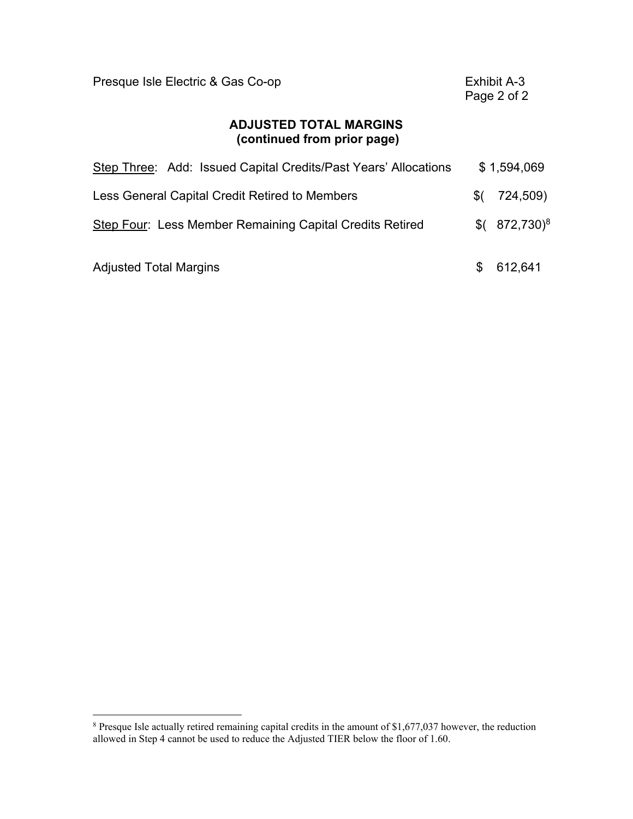| Presque Isle Electric & Gas Co-op                               |     | Exhibit A-3<br>Page 2 of 2 |
|-----------------------------------------------------------------|-----|----------------------------|
| <b>ADJUSTED TOTAL MARGINS</b><br>(continued from prior page)    |     |                            |
| Step Three: Add: Issued Capital Credits/Past Years' Allocations |     | \$1,594,069                |
| Less General Capital Credit Retired to Members                  | \$( | 724,509)                   |
| Step Four: Less Member Remaining Capital Credits Retired        | \$( | $872,730$ <sup>8</sup>     |
| <b>Adjusted Total Margins</b>                                   |     | 612,641                    |

 $\overline{a}$ 

<sup>&</sup>lt;sup>8</sup> Presque Isle actually retired remaining capital credits in the amount of \$1,677,037 however, the reduction allowed in Step 4 cannot be used to reduce the Adjusted TIER below the floor of 1.60.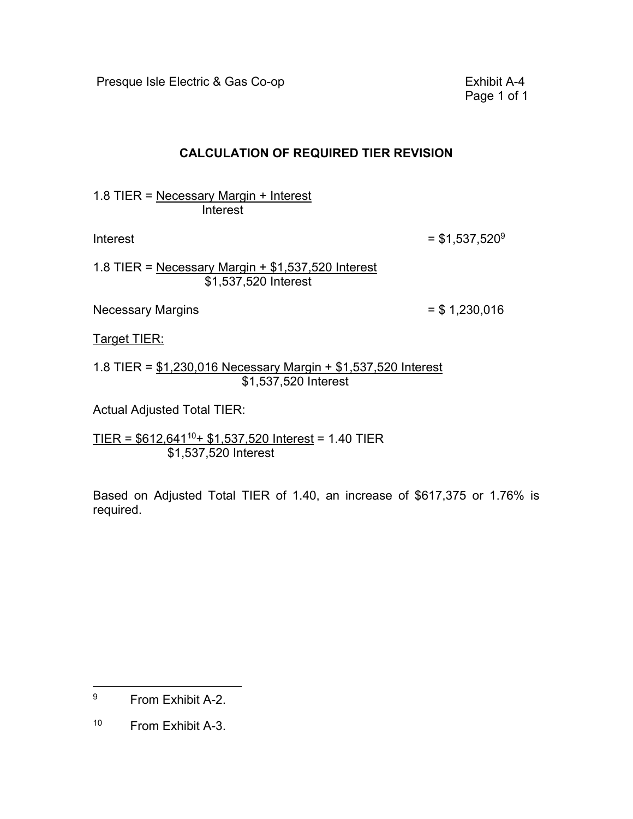Presque Isle Electric & Gas Co-op **Exhibit A-4** 

Page 1 of 1

### **CALCULATION OF REQUIRED TIER REVISION**

1.8 TIER = Necessary Margin + Interest Interest

Interest

 $=$  \$1,537,520<sup>9</sup>

1.8 TIER = Necessary Margin + \$1,537,520 Interest \$1,537,520 Interest

Necessary Margins  $= $1,230,016$ 

Target TIER:

1.8 TIER = \$1,230,016 Necessary Margin + \$1,537,520 Interest \$1,537,520 Interest

Actual Adjusted Total TIER:

TIER =  $$612,641^{10}+ $1,537,520$  Interest = 1.40 TIER \$1,537,520 Interest

Based on Adjusted Total TIER of 1.40, an increase of \$617,375 or 1.76% is required.

 $\overline{a}$ 

<sup>9</sup> From Exhibit A-2.

 $10$ From Exhibit A-3.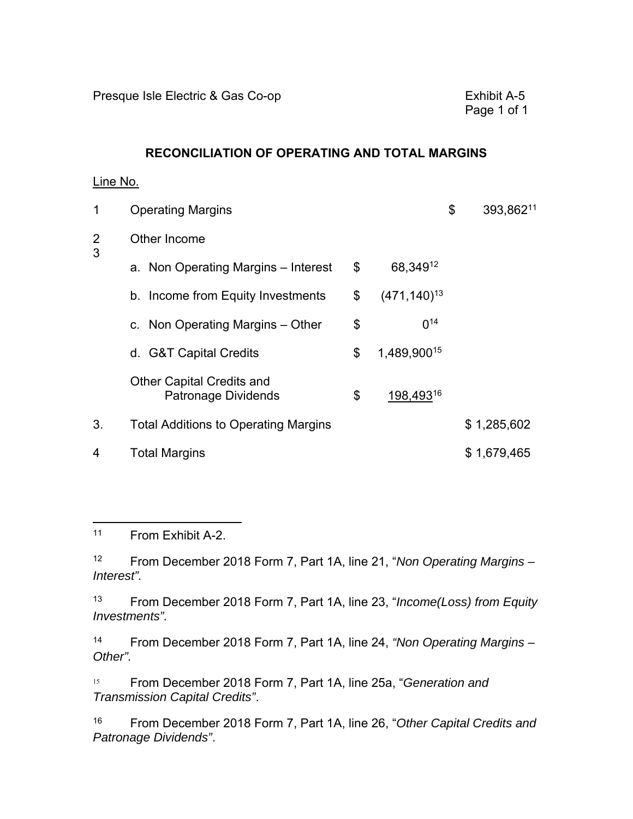### **RECONCILIATION OF OPERATING AND TOTAL MARGINS**

### Line No.

| 1      | <b>Operating Margins</b>                                |                         | \$<br>393,86211 |
|--------|---------------------------------------------------------|-------------------------|-----------------|
| 2<br>3 | Other Income                                            |                         |                 |
|        | a. Non Operating Margins – Interest                     | \$<br>68,349 12         |                 |
|        | b. Income from Equity Investments                       | \$<br>$(471, 140)^{13}$ |                 |
|        | c. Non Operating Margins – Other                        | \$<br>14<br>$\Omega$    |                 |
|        | d. G&T Capital Credits                                  | \$<br>1,489,90015       |                 |
|        | <b>Other Capital Credits and</b><br>Patronage Dividends | \$<br>198,49316         |                 |
| 3.     | <b>Total Additions to Operating Margins</b>             |                         | \$1,285,602     |
| 4      | <b>Total Margins</b>                                    |                         | \$1,679,465     |

 $\overline{a}$  $11$ From Exhibit A-2.

 $12$ <sup>12</sup> From December 2018 Form 7, Part 1A, line 21, "*Non Operating Margins – Interest".* 

13 <sup>13</sup> From December 2018 Form 7, Part 1A, line 23, "*Income(Loss) from Equity Investments".* 

 $14$ <sup>14</sup> From December 2018 Form 7, Part 1A, line 24, *"Non Operating Margins – Other".* 

 $15$ <sup>15</sup> From December 2018 Form 7, Part 1A, line 25a, "*Generation and Transmission Capital Credits"*.

16 <sup>16</sup> From December 2018 Form 7, Part 1A, line 26, "*Other Capital Credits and Patronage Dividends"*.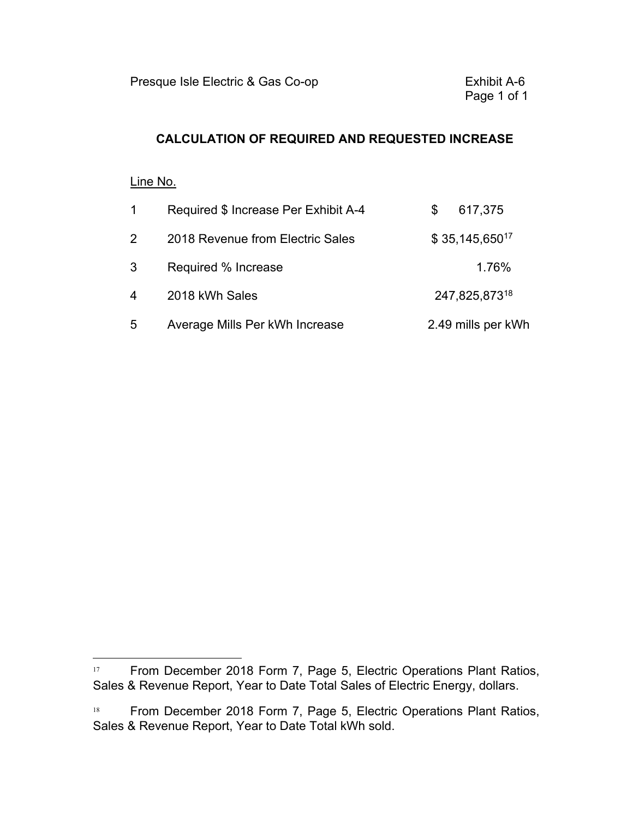### **CALCULATION OF REQUIRED AND REQUESTED INCREASE**

### Line No.

 $\overline{a}$ 

| $\mathbf{1}$   | Required \$ Increase Per Exhibit A-4 | \$. | 617,375            |
|----------------|--------------------------------------|-----|--------------------|
| $\overline{2}$ | 2018 Revenue from Electric Sales     |     | $$35,145,650^{17}$ |
| 3              | Required % Increase                  |     | 1.76%              |
| $\overline{4}$ | 2018 kWh Sales                       |     | 247,825,87318      |
| 5              | Average Mills Per kWh Increase       |     | 2.49 mills per kWh |

<sup>&</sup>lt;sup>17</sup> From December 2018 Form 7, Page 5, Electric Operations Plant Ratios, Sales & Revenue Report, Year to Date Total Sales of Electric Energy, dollars.

 $18\,$ From December 2018 Form 7, Page 5, Electric Operations Plant Ratios, Sales & Revenue Report, Year to Date Total kWh sold.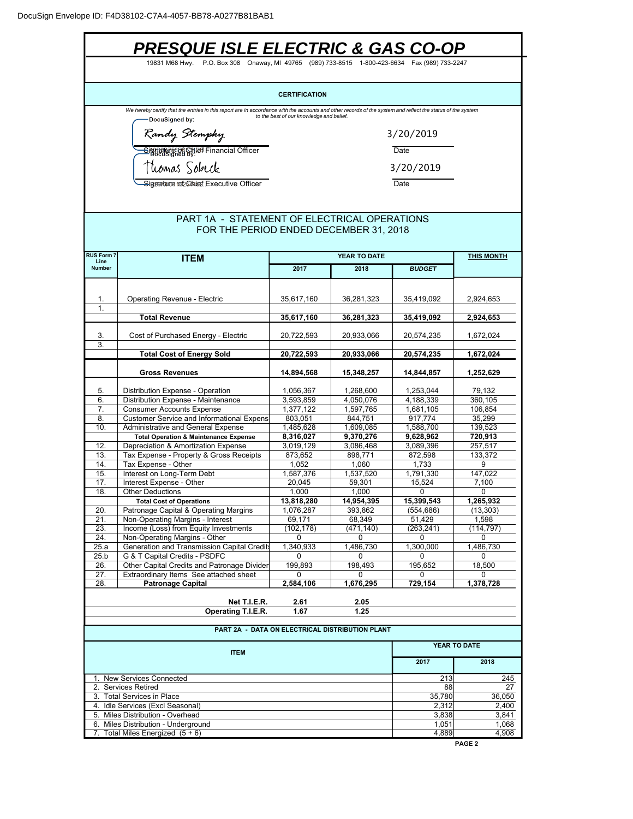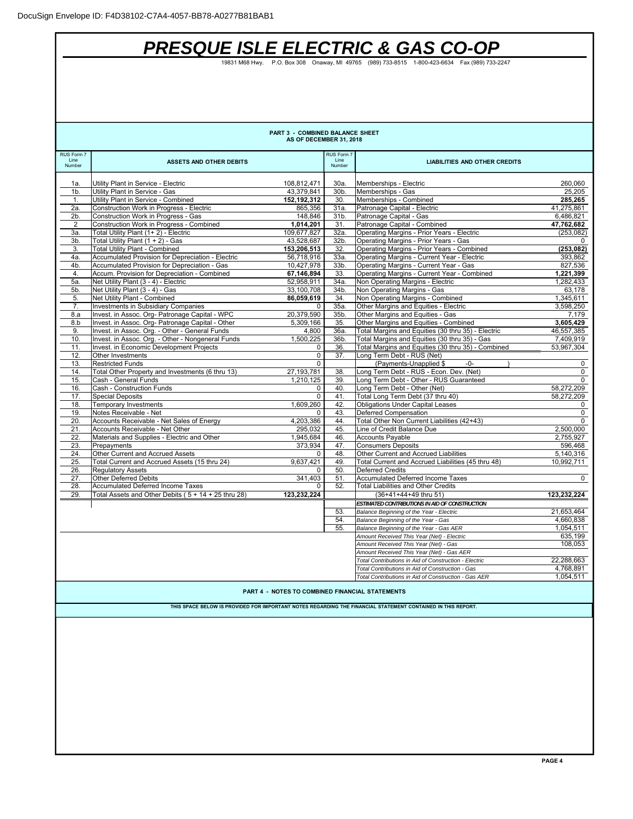# *PRESQUE ISLE ELECTRIC & GAS CO-OP*

19831 M68 Hwy. P.O. Box 308 Onaway, MI 49765 (989) 733-8515 1-800-423-6634 Fax (989) 733-2247

|                    |                                                                                            | PART 3 - COMBINED BALANCE SHEET                 |                    |                                                                                                              |                         |
|--------------------|--------------------------------------------------------------------------------------------|-------------------------------------------------|--------------------|--------------------------------------------------------------------------------------------------------------|-------------------------|
|                    |                                                                                            | AS OF DECEMBER 31, 2018                         |                    |                                                                                                              |                         |
| RUS Form 7<br>Line | <b>ASSETS AND OTHER DEBITS</b>                                                             |                                                 | RUS Form 7<br>Line | <b>LIABILITIES AND OTHER CREDITS</b>                                                                         |                         |
| Number             |                                                                                            |                                                 | Number             |                                                                                                              |                         |
| 1a.                | Utility Plant in Service - Electric                                                        | 108,812,471                                     | 30a.               | Memberships - Electric                                                                                       | 260,060                 |
| 1 <sub>b</sub>     | Utility Plant in Service - Gas                                                             | 43,379,841                                      | 30b.               | Memberships - Gas                                                                                            | 25,205                  |
| 1.                 | Utility Plant in Service - Combined                                                        | 152,192,312                                     | 30.                | Memberships - Combined                                                                                       | 285,265                 |
| 2a.                | Construction Work in Progress - Electric                                                   | 865,356                                         | 31a.               | Patronage Capital - Electric                                                                                 | 41,275,861              |
| 2b.                | Construction Work in Progress - Gas                                                        | 148,846                                         | 31b.               | Patronage Capital - Gas                                                                                      | 6,486,821               |
| 2                  | Construction Work in Progress - Combined                                                   | 1,014,201                                       | 31.                | Patronage Capital - Combined                                                                                 | 47,762,682              |
| 3а.                | Total Utility Plant (1+2) - Electric                                                       | 109,677,827                                     | 32a.               | Operating Margins - Prior Years - Electric                                                                   | (253, 082)              |
| 3b.                | Total Utility Plant (1 + 2) - Gas                                                          | 43,528,687                                      | 32b.               | Operating Margins - Prior Years - Gas                                                                        | $\Omega$                |
| 3.<br>4a.          | <b>Total Utility Plant - Combined</b><br>Accumulated Provision for Depreciation - Electric | 153,206,513<br>56,718,916                       | 32.<br>33a.        | Operating Margins - Prior Years - Combined<br>Operating Margins - Current Year - Electric                    | (253, 082)              |
| 4b.                | Accumulated Provision for Depreciation - Gas                                               | 10,427,978                                      | 33b.               | Operating Margins - Current Year - Gas                                                                       | 393,862<br>827,536      |
| 4.                 | Accum. Provision for Depreciation - Combined                                               | 67,146,894                                      | 33.                | Operating Margins - Current Year - Combined                                                                  | 1,221,399               |
| 5a.                | Net Utility Plant (3 - 4) - Electric                                                       | 52,958,911                                      | 34a.               | Non Operating Margins - Electric                                                                             | 1,282,433               |
| 5b.                | Net Utility Plant (3 - 4) - Gas                                                            | 33,100,708                                      | 34b.               | Non Operating Margins - Gas                                                                                  | 63,178                  |
| 5.                 | Net Utility Plant - Combined                                                               | 86,059,619                                      | 34.                | Non Operating Margins - Combined                                                                             | 1,345,611               |
| 7.                 | Investments in Subsidiary Companies                                                        | 0                                               | 35a.               | Other Margins and Equities - Electric                                                                        | 3,598,250               |
| 8.a                | Invest. in Assoc. Org- Patronage Capital - WPC                                             | 20,379,590                                      | 35b.               | Other Margins and Equities - Gas                                                                             | 7,179                   |
| 8.b                | Invest. in Assoc. Org- Patronage Capital - Other                                           | 5,309,166                                       | 35.                | Other Margins and Equities - Combined                                                                        | 3,605,429               |
| 9.                 | Invest. in Assoc. Org. - Other - General Funds                                             | 4,800                                           | 36a.               | Total Margins and Equities (30 thru 35) - Electric                                                           | 46,557,385              |
| 10.                | Invest. in Assoc. Org. - Other - Nongeneral Funds                                          | 1,500,225                                       | 36b.               | Total Margins and Equities (30 thru 35) - Gas                                                                | 7,409,919               |
| 11.                | Invest. in Economic Development Projects                                                   | 0                                               | 36.                | Total Margins and Equities (30 thru 35) - Combined                                                           | 53,967,304              |
| 12.                | Other Investments                                                                          | $\mathbf 0$                                     | 37.                | Long Term Debt - RUS (Net)                                                                                   |                         |
| 13.                | <b>Restricted Funds</b>                                                                    | $\Omega$                                        |                    | (Payments-Unapplied \$<br>$-0-$                                                                              | 0                       |
| 14.<br>15.         | Total Other Property and Investments (6 thru 13)<br>Cash - General Funds                   | 27, 193, 781<br>1,210,125                       | 38.<br>39.         | Long Term Debt - RUS - Econ. Dev. (Net)<br>Long Term Debt - Other - RUS Guaranteed                           | 0<br>$\Omega$           |
| 16.                | Cash - Construction Funds                                                                  | 0                                               | 40.                | Long Term Debt - Other (Net)                                                                                 | 58,272,209              |
| 17.                | <b>Special Deposits</b>                                                                    | $\mathbf 0$                                     | 41.                | Total Long Term Debt (37 thru 40)                                                                            | 58,272,209              |
| 18.                | <b>Temporary Investments</b>                                                               | 1.609.260                                       | 42.                | <b>Obligations Under Capital Leases</b>                                                                      | 0                       |
| 19.                | Notes Receivable - Net                                                                     | 0                                               | 43.                | Deferred Compensation                                                                                        | $\mathbf 0$             |
| 20.                | Accounts Receivable - Net Sales of Energy                                                  | 4,203,386                                       | 44.                | Total Other Non Current Liabilities (42+43)                                                                  | $\Omega$                |
| 21.                | Accounts Receivable - Net Other                                                            | 295,032                                         | 45.                | Line of Credit Balance Due                                                                                   | 2,500,000               |
| 22.                | Materials and Supplies - Electric and Other                                                | 1,945,684                                       | 46.                | <b>Accounts Payable</b>                                                                                      | 2,755,927               |
| 23.                | Prepayments                                                                                | 373,934                                         | 47.                | <b>Consumers Deposits</b>                                                                                    | 596,468                 |
| 24.                | Other Current and Accrued Assets                                                           | $\mathbf 0$                                     | 48.                | Other Current and Accrued Liabilities                                                                        | 5,140,316               |
| 25.                | Total Current and Accrued Assets (15 thru 24)                                              | 9,637,421                                       | 49.                | Total Current and Accrued Liabilities (45 thru 48)                                                           | 10,992,711              |
| 26.                | <b>Regulatory Assets</b>                                                                   | 0                                               | 50.                | <b>Deferred Credits</b>                                                                                      |                         |
| 27.                | <b>Other Deferred Debits</b>                                                               | 341,403                                         | 51.                | Accumulated Deferred Income Taxes                                                                            | $\mathbf 0$             |
| 28.                | <b>Accumulated Deferred Income Taxes</b>                                                   | 0                                               | 52.                | <b>Total Liabilities and Other Credits</b>                                                                   |                         |
| 29.                | Total Assets and Other Debits ( $5 + 14 + 25$ thru 28)                                     | 123,232,224                                     |                    | (36+41+44+49 thru 51)                                                                                        | 123,232,224             |
|                    |                                                                                            |                                                 |                    | ESTIMATED CONTRIBUTIONS IN AID OF CONSTRUCTION                                                               |                         |
|                    |                                                                                            |                                                 | 53.<br>54.         | Balance Beginning of the Year - Electric                                                                     | 21,653,464<br>4,660,838 |
|                    |                                                                                            |                                                 | 55.                | Balance Beginning of the Year - Gas<br>Balance Beginning of the Year - Gas AER                               | 1,054,511               |
|                    |                                                                                            |                                                 |                    | Amount Received This Year (Net) - Electric                                                                   | 635,199                 |
|                    |                                                                                            |                                                 |                    | Amount Received This Year (Net) - Gas                                                                        | 108,053                 |
|                    |                                                                                            |                                                 |                    | Amount Received This Year (Net) - Gas AER                                                                    |                         |
|                    |                                                                                            |                                                 |                    | Total Contributions in Aid of Construction - Electric                                                        | 22,288,663              |
|                    |                                                                                            |                                                 |                    | Total Contributions in Aid of Construction - Gas                                                             | 4,768,891               |
|                    |                                                                                            |                                                 |                    | Total Contributions in Aid of Construction - Gas AER                                                         | 1,054,511               |
|                    |                                                                                            |                                                 |                    |                                                                                                              |                         |
|                    |                                                                                            | PART 4 - NOTES TO COMBINED FINANCIAL STATEMENTS |                    |                                                                                                              |                         |
|                    |                                                                                            |                                                 |                    | THIS SPACE BELOW IS PROVIDED FOR IMPORTANT NOTES REGARDING THE FINANCIAL STATEMENT CONTAINED IN THIS REPORT. |                         |
|                    |                                                                                            |                                                 |                    |                                                                                                              |                         |
|                    |                                                                                            |                                                 |                    |                                                                                                              |                         |
|                    |                                                                                            |                                                 |                    |                                                                                                              |                         |
|                    |                                                                                            |                                                 |                    |                                                                                                              |                         |
|                    |                                                                                            |                                                 |                    |                                                                                                              |                         |
|                    |                                                                                            |                                                 |                    |                                                                                                              |                         |
|                    |                                                                                            |                                                 |                    |                                                                                                              |                         |
|                    |                                                                                            |                                                 |                    |                                                                                                              |                         |
|                    |                                                                                            |                                                 |                    |                                                                                                              |                         |
|                    |                                                                                            |                                                 |                    |                                                                                                              |                         |
|                    |                                                                                            |                                                 |                    |                                                                                                              |                         |
|                    |                                                                                            |                                                 |                    |                                                                                                              |                         |
|                    |                                                                                            |                                                 |                    |                                                                                                              |                         |
|                    |                                                                                            |                                                 |                    |                                                                                                              |                         |
|                    |                                                                                            |                                                 |                    |                                                                                                              |                         |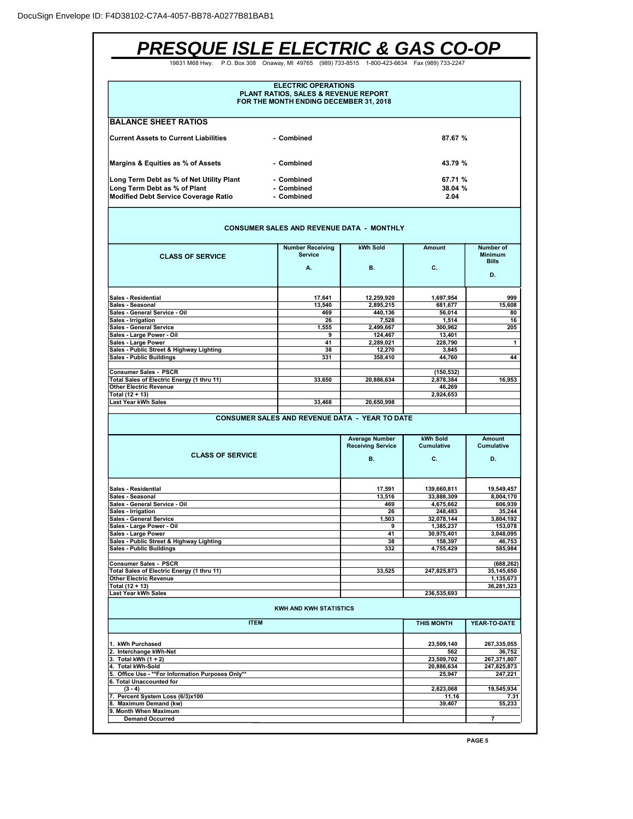| <b>PRESQUE ISLE ELECTRIC &amp; GAS CO-OP</b>                                                                            |                                                                                                              |                                                   |                        |                                             |
|-------------------------------------------------------------------------------------------------------------------------|--------------------------------------------------------------------------------------------------------------|---------------------------------------------------|------------------------|---------------------------------------------|
| 19831 M68 Hwv.                                                                                                          | P.O. Box 308 Onaway, MI 49765 (989) 733-8515 1-800-423-6634 Fax (989) 733-2247                               |                                                   |                        |                                             |
|                                                                                                                         | <b>ELECTRIC OPERATIONS</b><br>PLANT RATIOS, SALES & REVENUE REPORT<br>FOR THE MONTH ENDING DECEMBER 31, 2018 |                                                   |                        |                                             |
| <b>BALANCE SHEET RATIOS</b>                                                                                             |                                                                                                              |                                                   |                        |                                             |
| <b>Current Assets to Current Liabilities</b>                                                                            |                                                                                                              | 87.67 %                                           |                        |                                             |
| Margins & Equities as % of Assets                                                                                       | - Combined                                                                                                   |                                                   | 43.79 %                |                                             |
| Long Term Debt as % of Net Utility Plant<br>Long Term Debt as % of Plant<br><b>Modified Debt Service Coverage Ratio</b> |                                                                                                              | 67.71 %<br>38.04 %<br>2.04                        |                        |                                             |
|                                                                                                                         | <b>CONSUMER SALES AND REVENUE DATA - MONTHLY</b>                                                             |                                                   |                        |                                             |
| <b>CLASS OF SERVICE</b>                                                                                                 | <b>Number Receiving</b><br><b>Service</b>                                                                    | kWh Sold                                          | Amount                 | Number of<br><b>Minimum</b><br><b>Bills</b> |
|                                                                                                                         | А.                                                                                                           | В.                                                | С.                     | D.                                          |
| Sales - Residential                                                                                                     | 17.641                                                                                                       | 12,259,920                                        | 1,697,954              | 999                                         |
| Sales - Seasonal                                                                                                        | 13,540                                                                                                       | 2,895,215                                         | 681,677                | 15,608                                      |
| Sales - General Service - Oil<br>Sales - Irrigation                                                                     | 469<br>26                                                                                                    | 440,136<br>7,528                                  | 56,014<br>1.514        | 80                                          |
| Sales - General Service                                                                                                 | 1,555                                                                                                        | 2.499.667                                         | 300,962                | 16<br>205                                   |
| Sales - Large Power - Oil                                                                                               | 9                                                                                                            | 124,467                                           | 13,401                 |                                             |
| Sales - Large Power                                                                                                     | 41                                                                                                           | 2,289,021                                         | 228,790                | 1                                           |
| Sales - Public Street & Highway Lighting<br>Sales - Public Buildings                                                    | 38<br>331                                                                                                    | 12,270<br>358,410                                 | 3,845<br>44,760        | 44                                          |
|                                                                                                                         |                                                                                                              |                                                   |                        |                                             |
| Consumer Sales - PSCR                                                                                                   |                                                                                                              |                                                   | (150, 532)             |                                             |
| Total Sales of Electric Energy (1 thru 11)                                                                              | 33,650                                                                                                       | 20,886,634                                        | 2,878,384              | 16,953                                      |
| <b>Other Electric Revenue</b>                                                                                           |                                                                                                              |                                                   | 46,269                 |                                             |
| Total (12 + 13)<br>Last Year kWh Sales                                                                                  | 33,468                                                                                                       | 20,650,998                                        | 2,924,653              |                                             |
|                                                                                                                         |                                                                                                              |                                                   |                        |                                             |
|                                                                                                                         | <b>CONSUMER SALES AND REVENUE DATA - YEAR TO DATE</b>                                                        |                                                   |                        |                                             |
|                                                                                                                         |                                                                                                              | <b>Average Number</b><br><b>Receiving Service</b> | kWh Sold<br>Cumulative | <b>Amount</b><br>Cumulative                 |
| <b>CLASS OF SERVICE</b>                                                                                                 |                                                                                                              | В.                                                | C.                     | D.                                          |
| Sales - Residential                                                                                                     |                                                                                                              | 17,591                                            | 139,660,811            | 19,549,457                                  |
| Sales - Seasonal                                                                                                        |                                                                                                              | 13,516                                            | 33,888,309             | 8,004,170                                   |
| Sales - General Service - Oil                                                                                           |                                                                                                              | 469                                               | 4,675,662              | 606,939                                     |
| Sales - Irrigation<br><b>Sales - General Service</b>                                                                    |                                                                                                              | 26<br>1,503                                       | 248,483<br>32,078,144  | 35,244<br>3,804,192                         |
| Sales - Large Power - Oil                                                                                               |                                                                                                              | 9                                                 | 1,385,237              | 153,078                                     |
| Sales - Large Power                                                                                                     |                                                                                                              | 41                                                | 30,975,401             | 3,048,095                                   |
| Sales - Public Street & Highway Lighting                                                                                |                                                                                                              | 38                                                | 158,397                | 46,753                                      |
| Sales - Public Buildings                                                                                                |                                                                                                              | 332                                               | 4,755,429              | 585,984                                     |
| <b>Consumer Sales - PSCR</b>                                                                                            |                                                                                                              |                                                   |                        | (688, 262)                                  |
| Total Sales of Electric Energy (1 thru 11)                                                                              |                                                                                                              | 33,525                                            | 247,825,873            | 35,145,650                                  |
| <b>Other Electric Revenue</b>                                                                                           |                                                                                                              |                                                   |                        | 1,135,673                                   |
| Total (12 + 13)<br>Last Year kWh Sales                                                                                  |                                                                                                              |                                                   | 236,535,693            | 36,281,323                                  |
|                                                                                                                         | <b>KWH AND KWH STATISTICS</b>                                                                                |                                                   |                        |                                             |
| <b>ITEM</b>                                                                                                             |                                                                                                              |                                                   | <b>THIS MONTH</b>      | YEAR-TO-DATE                                |
| 1. kWh Purchased                                                                                                        |                                                                                                              |                                                   | 23,509,140             | 267,335,055                                 |
| 2. Interchange kWh-Net                                                                                                  |                                                                                                              | 562                                               | 36,752                 |                                             |
| 3. Total kWh (1 + 2)                                                                                                    |                                                                                                              |                                                   | 23,509,702             | 267,371,807                                 |
| 4. Total kWh-Sold                                                                                                       |                                                                                                              |                                                   | 20,886,634             | 247,825,873                                 |
| 5. Office Use - ** For Information Purposes Only**<br>6. Total Unaccounted for                                          |                                                                                                              |                                                   | 25,947                 | 247,221                                     |
| $(3 - 4)$                                                                                                               |                                                                                                              |                                                   | 2,623,068              | 19,545,934                                  |
| 7. Percent System Loss (6/3)x100                                                                                        |                                                                                                              |                                                   | 11.16                  | 7.31                                        |
| 8. Maximum Demand (kw)                                                                                                  |                                                                                                              |                                                   | 39,407                 | 55,233                                      |
| 9. Month When Maximum<br><b>Demand Occurred</b>                                                                         |                                                                                                              |                                                   |                        | 7                                           |
|                                                                                                                         |                                                                                                              |                                                   |                        |                                             |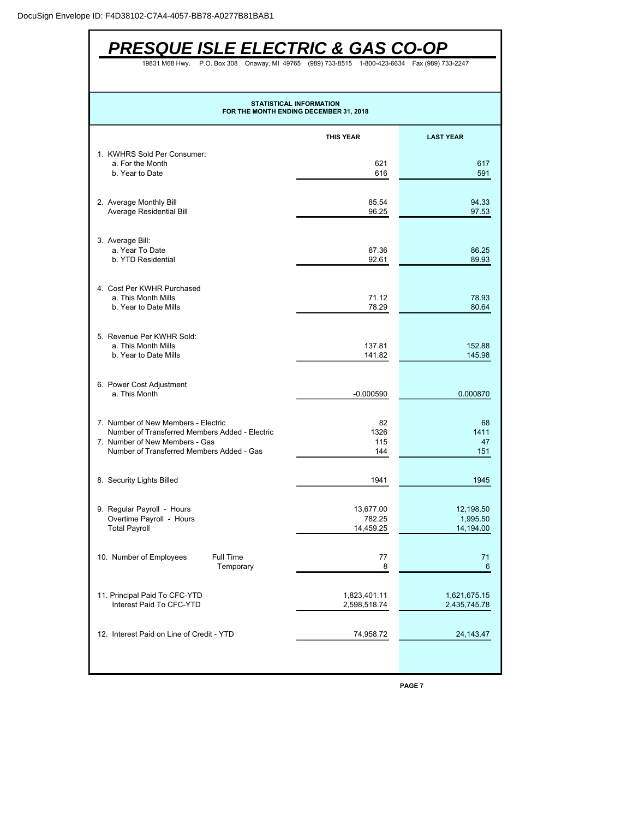| <b>PRESQUE ISLE ELECTRIC &amp; GAS CO-OP</b>                                                                                                                         |                                                                                |                                    |  |  |  |  |  |
|----------------------------------------------------------------------------------------------------------------------------------------------------------------------|--------------------------------------------------------------------------------|------------------------------------|--|--|--|--|--|
| 19831 M68 Hwy.                                                                                                                                                       | P.O. Box 308 Onaway, MI 49765 (989) 733-8515 1-800-423-6634 Fax (989) 733-2247 |                                    |  |  |  |  |  |
| <b>STATISTICAL INFORMATION</b><br>FOR THE MONTH ENDING DECEMBER 31, 2018                                                                                             |                                                                                |                                    |  |  |  |  |  |
|                                                                                                                                                                      | <b>THIS YEAR</b>                                                               | <b>LAST YEAR</b>                   |  |  |  |  |  |
| 1. KWHRS Sold Per Consumer:<br>a. For the Month<br>b. Year to Date                                                                                                   | 621<br>616                                                                     | 617<br>591                         |  |  |  |  |  |
| 2. Average Monthly Bill<br><b>Average Residential Bill</b>                                                                                                           | 85.54<br>96.25                                                                 | 94.33<br>97.53                     |  |  |  |  |  |
| 3. Average Bill:<br>a. Year To Date<br>b. YTD Residential                                                                                                            | 87.36<br>92.61                                                                 | 86.25<br>89.93                     |  |  |  |  |  |
| 4. Cost Per KWHR Purchased<br>a. This Month Mills<br>b. Year to Date Mills                                                                                           | 71.12<br>78.29                                                                 | 78.93<br>80.64                     |  |  |  |  |  |
| 5. Revenue Per KWHR Sold:<br>a. This Month Mills<br>b. Year to Date Mills                                                                                            | 137.81<br>141.82                                                               | 152.88<br>145.98                   |  |  |  |  |  |
| 6. Power Cost Adjustment<br>a. This Month                                                                                                                            | $-0.000590$                                                                    | 0.000870                           |  |  |  |  |  |
| 7. Number of New Members - Electric<br>Number of Transferred Members Added - Electric<br>7. Number of New Members - Gas<br>Number of Transferred Members Added - Gas | 82<br>1326<br>115<br>144                                                       | 68<br>1411<br>47<br>151            |  |  |  |  |  |
| 8. Security Lights Billed                                                                                                                                            | 1941                                                                           | 1945                               |  |  |  |  |  |
| 9. Regular Payroll - Hours<br>Overtime Payroll - Hours<br><b>Total Payroll</b>                                                                                       | 13,677.00<br>782.25<br>14,459.25                                               | 12,198.50<br>1,995.50<br>14,194.00 |  |  |  |  |  |
| Full Time<br>10. Number of Employees<br>Temporary                                                                                                                    | 77<br>8                                                                        | 71<br>6                            |  |  |  |  |  |
| 11. Principal Paid To CFC-YTD<br>Interest Paid To CFC-YTD                                                                                                            | 1,823,401.11<br>2,598,518.74                                                   | 1,621,675.15<br>2,435,745.78       |  |  |  |  |  |
| 12. Interest Paid on Line of Credit - YTD                                                                                                                            | 74,958.72                                                                      | 24, 143. 47                        |  |  |  |  |  |
|                                                                                                                                                                      |                                                                                |                                    |  |  |  |  |  |

**PAGE 7**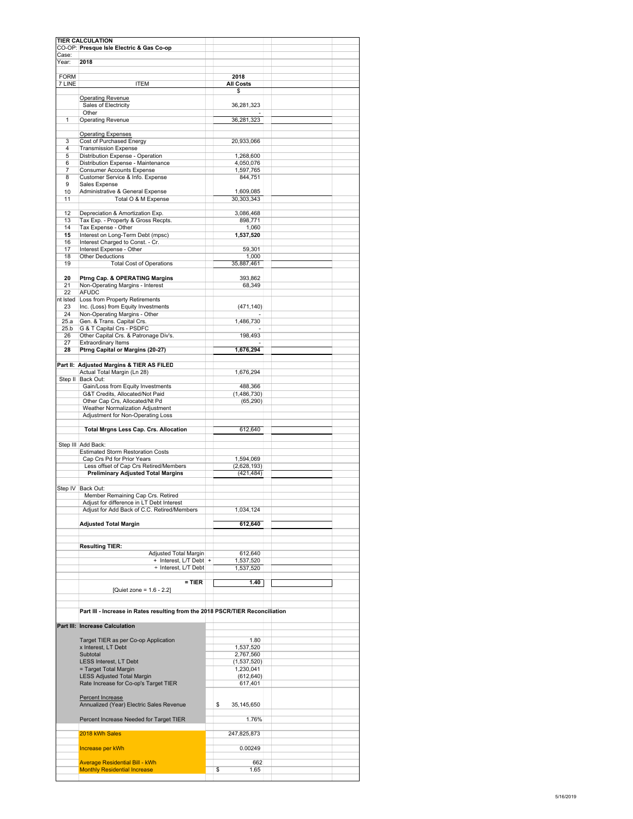| Year:                 | 2018                                                                                     |                                |  |
|-----------------------|------------------------------------------------------------------------------------------|--------------------------------|--|
| <b>FORM</b><br>7 LINE | <b>ITEM</b>                                                                              | 2018<br><b>All Costs</b><br>\$ |  |
|                       | <b>Operating Revenue</b>                                                                 |                                |  |
|                       | Sales of Electricity<br>Other                                                            | 36,281,323                     |  |
| 1                     | <b>Operating Revenue</b>                                                                 | 36,281,323                     |  |
|                       | <b>Operating Expenses</b><br>Cost of Purchased Energy                                    |                                |  |
| 3<br>$\overline{4}$   | <b>Transmission Expense</b>                                                              | 20,933,066                     |  |
| 5                     | Distribution Expense - Operation                                                         | 1.268.600                      |  |
| 6<br>$\overline{7}$   | Distribution Expense - Maintenance<br><b>Consumer Accounts Expense</b>                   | 4,050,076<br>1,597,765         |  |
| 8                     | Customer Service & Info. Expense                                                         | 844,751                        |  |
| 9<br>10               | Sales Expense<br>Administrative & General Expense                                        | 1,609,085                      |  |
| 11                    | Total O & M Expense                                                                      | 30,303,343                     |  |
| 12                    | Depreciation & Amortization Exp.                                                         | 3,086,468                      |  |
| 13                    | Tax Exp. - Property & Gross Recpts.                                                      | 898,771                        |  |
| 14<br>15              | Tax Expense - Other<br>Interest on Long-Term Debt (mpsc)                                 | 1,060<br>1,537,520             |  |
| 16                    | Interest Charged to Const. - Cr.                                                         |                                |  |
| 17<br>18              | Interest Expense - Other<br><b>Other Deductions</b>                                      | 59,301<br>1,000                |  |
| 19                    | <b>Total Cost of Operations</b>                                                          | 35,887,461                     |  |
| 20                    | Ptrng Cap. & OPERATING Margins                                                           | 393,862                        |  |
| 21                    | Non-Operating Margins - Interest                                                         | 68,349                         |  |
| 22                    | <b>AFUDC</b><br>nt Isted Loss from Property Retirements                                  |                                |  |
| 23                    | Inc. (Loss) from Equity Investments                                                      | (471, 140)                     |  |
| 24<br>25.a            | Non-Operating Margins - Other                                                            |                                |  |
| 25.b                  | Gen. & Trans. Capital Crs.<br>G & T Capital Crs - PSDFC                                  | 1,486,730                      |  |
| 26                    | Other Capital Crs. & Patronage Div's.                                                    | 198,493                        |  |
| 27<br>28              | Extraordinary Items<br>Ptrng Capital or Margins (20-27)                                  | 1,676,294                      |  |
|                       |                                                                                          |                                |  |
|                       | Part II: Adjusted Margins & TIER AS FILED<br>Actual Total Margin (Ln 28)                 | 1,676,294                      |  |
|                       | Step II Back Out:                                                                        |                                |  |
|                       | Gain/Loss from Equity Investments<br>G&T Credits, Allocated/Not Paid                     | 488,366<br>(1,486,730)         |  |
|                       | Other Cap Crs, Allocated/Nt Pd                                                           | (65, 290)                      |  |
|                       | Weather Normalization Adjustment<br>Adjustment for Non-Operating Loss                    |                                |  |
|                       |                                                                                          |                                |  |
|                       | Total Mrgns Less Cap. Crs. Allocation                                                    | 612,640                        |  |
|                       | Step III Add Back:                                                                       |                                |  |
|                       | <b>Estimated Storm Restoration Costs</b><br>Cap Crs Pd for Prior Years                   | 1,594,069                      |  |
|                       | Less offset of Cap Crs Retired/Members                                                   | (2,628,193)                    |  |
|                       | <b>Preliminary Adjusted Total Margins</b>                                                | (421,484)                      |  |
|                       | Step IV Back Out:                                                                        |                                |  |
|                       | Member Remaining Cap Crs. Retired                                                        |                                |  |
|                       | Adjust for difference in LT Debt Interest<br>Adjust for Add Back of C.C. Retired/Members | 1,034,124                      |  |
|                       |                                                                                          |                                |  |
|                       | <b>Adjusted Total Margin</b>                                                             | 612,640                        |  |
|                       |                                                                                          |                                |  |
|                       | <b>Resulting TIER:</b><br>Adjusted Total Margin                                          | 612,640                        |  |
|                       | + Interest, L/T Debt +                                                                   | 1,537,520                      |  |
|                       | + Interest, L/T Debt                                                                     | 1,537,520                      |  |
|                       | $=$ TIER                                                                                 | 1.40                           |  |
|                       | [Quiet zone = $1.6 - 2.2$ ]                                                              |                                |  |
|                       | Part III - Increase in Rates resulting from the 2018 PSCR/TIER Reconciliation            |                                |  |
|                       | Part III: Increase Calculation                                                           |                                |  |
|                       |                                                                                          |                                |  |
|                       | Target TIER as per Co-op Application<br>x Interest, LT Debt                              | 1.80<br>1,537,520              |  |
|                       | Subtotal                                                                                 | 2,767,560                      |  |
|                       | <b>LESS Interest, LT Debt</b>                                                            | (1,537,520)                    |  |
|                       | = Target Total Margin<br><b>LESS Adjusted Total Margin</b>                               | 1,230,041<br>(612, 640)        |  |
|                       | Rate Increase for Co-op's Target TIER                                                    | 617,401                        |  |
|                       | <b>Percent Increase</b>                                                                  |                                |  |
|                       | Annualized (Year) Electric Sales Revenue                                                 | \$<br>35,145,650               |  |
|                       | Percent Increase Needed for Target TIER                                                  | 1.76%                          |  |
|                       |                                                                                          |                                |  |
|                       | 2018 kWh Sales                                                                           | 247,825,873                    |  |
|                       |                                                                                          |                                |  |
|                       | Increase per kWh                                                                         | 0.00249                        |  |
|                       | <b>Average Residential Bill - kWh</b>                                                    | 662                            |  |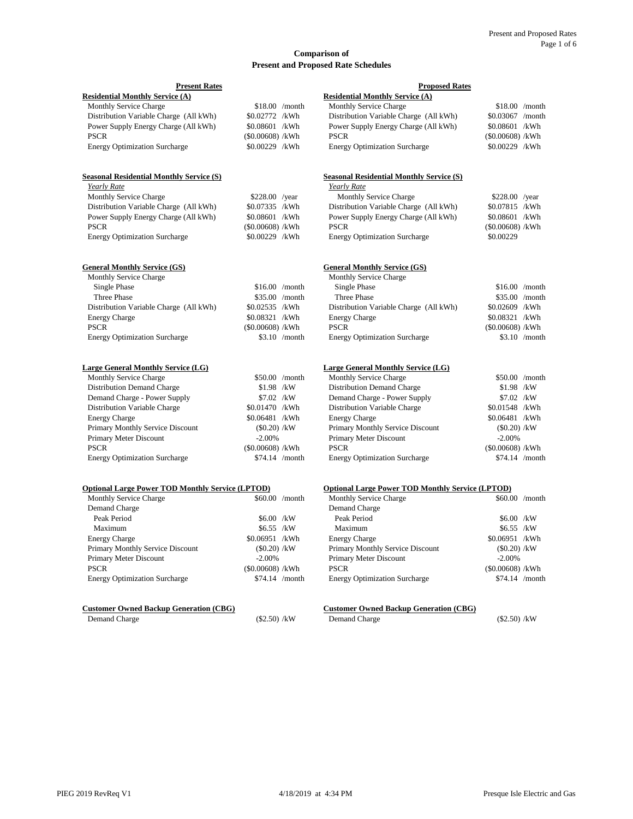#### **Comparison of Present and Proposed Rate Schedules**

| <b>Present Rates</b>                                    |                    |                 | <b>Proposed Rates</b>                                   |                    |                 |  |  |
|---------------------------------------------------------|--------------------|-----------------|---------------------------------------------------------|--------------------|-----------------|--|--|
| <b>Residential Monthly Service (A)</b>                  |                    |                 | <b>Residential Monthly Service (A)</b>                  |                    |                 |  |  |
| <b>Monthly Service Charge</b>                           |                    | $$18.00$ /month | <b>Monthly Service Charge</b>                           |                    | $$18.00$ /month |  |  |
| Distribution Variable Charge (All kWh)                  | \$0.02772 /kWh     |                 | Distribution Variable Charge (All kWh)                  | \$0.03067 /month   |                 |  |  |
| Power Supply Energy Charge (All kWh)                    | \$0.08601 /kWh     |                 | Power Supply Energy Charge (All kWh)                    | \$0.08601 /kWh     |                 |  |  |
| <b>PSCR</b>                                             | $(\$0.00608)$ /kWh |                 | <b>PSCR</b>                                             | $(\$0.00608)$ /kWh |                 |  |  |
| <b>Energy Optimization Surcharge</b>                    | \$0.00229 /kWh     |                 | <b>Energy Optimization Surcharge</b>                    | \$0.00229 /kWh     |                 |  |  |
| <b>Seasonal Residential Monthly Service (S)</b>         |                    |                 | <b>Seasonal Residential Monthly Service (S)</b>         |                    |                 |  |  |
| Yearly Rate                                             |                    |                 | Yearly Rate                                             |                    |                 |  |  |
| Monthly Service Charge                                  | \$228.00 /year     |                 | Monthly Service Charge                                  | \$228.00 /year     |                 |  |  |
| Distribution Variable Charge (All kWh)                  | \$0.07335 /kWh     |                 | Distribution Variable Charge (All kWh)                  | \$0.07815 /kWh     |                 |  |  |
| Power Supply Energy Charge (All kWh)                    | \$0.08601 /kWh     |                 | Power Supply Energy Charge (All kWh)                    | \$0.08601 /kWh     |                 |  |  |
| <b>PSCR</b>                                             | $(\$0.00608)$ /kWh |                 | <b>PSCR</b>                                             | $(\$0.00608)$ /kWh |                 |  |  |
| <b>Energy Optimization Surcharge</b>                    | \$0.00229 /kWh     |                 | <b>Energy Optimization Surcharge</b>                    | \$0.00229          |                 |  |  |
| <b>General Monthly Service (GS)</b>                     |                    |                 | <b>General Monthly Service (GS)</b>                     |                    |                 |  |  |
| Monthly Service Charge                                  |                    |                 | Monthly Service Charge                                  |                    |                 |  |  |
| Single Phase                                            |                    | $$16.00$ /month | Single Phase                                            |                    | $$16.00$ /month |  |  |
| Three Phase                                             |                    | \$35.00 /month  | Three Phase                                             |                    | \$35.00 /month  |  |  |
| Distribution Variable Charge (All kWh)                  | \$0.02535 /kWh     |                 | Distribution Variable Charge (All kWh)                  | \$0.02609 /kWh     |                 |  |  |
| <b>Energy Charge</b>                                    | \$0.08321 /kWh     |                 | <b>Energy Charge</b>                                    | \$0.08321 /kWh     |                 |  |  |
| <b>PSCR</b>                                             | (\$0.00608) /kWh   |                 | <b>PSCR</b>                                             | $(\$0.00608)$ /kWh |                 |  |  |
| <b>Energy Optimization Surcharge</b>                    |                    | $$3.10$ /month  | <b>Energy Optimization Surcharge</b>                    |                    | $$3.10$ /month  |  |  |
| Large General Monthly Service (LG)                      |                    |                 | Large General Monthly Service (LG)                      |                    |                 |  |  |
| Monthly Service Charge                                  |                    | $$50.00$ /month | Monthly Service Charge                                  |                    | $$50.00$ /month |  |  |
| Distribution Demand Charge                              | $$1.98$ /kW        |                 | Distribution Demand Charge                              | $$1.98$ /kW        |                 |  |  |
| Demand Charge - Power Supply                            | $$7.02$ /kW        |                 | Demand Charge - Power Supply                            | \$7.02 /kW         |                 |  |  |
| Distribution Variable Charge                            | \$0.01470 /kWh     |                 | Distribution Variable Charge                            | \$0.01548 /kWh     |                 |  |  |
| <b>Energy Charge</b>                                    | \$0.06481 /kWh     |                 | <b>Energy Charge</b>                                    | \$0.06481 /kWh     |                 |  |  |
| Primary Monthly Service Discount                        | $(\$0.20)$ /kW     |                 | Primary Monthly Service Discount                        | $($ \$0.20 $)$ /kW |                 |  |  |
| Primary Meter Discount                                  | $-2.00%$           |                 | Primary Meter Discount                                  | $-2.00%$           |                 |  |  |
| <b>PSCR</b>                                             | $(\$0.00608)$ /kWh |                 | <b>PSCR</b>                                             | $(\$0.00608)$ /kWh |                 |  |  |
| <b>Energy Optimization Surcharge</b>                    |                    | $$74.14$ /month | <b>Energy Optimization Surcharge</b>                    |                    | $$74.14$ /month |  |  |
| <b>Optional Large Power TOD Monthly Service (LPTOD)</b> |                    |                 | <b>Optional Large Power TOD Monthly Service (LPTOD)</b> |                    |                 |  |  |
| Monthly Service Charge                                  |                    | \$60.00 /month  | Monthly Service Charge                                  |                    | \$60.00 /month  |  |  |
| Demand Charge                                           |                    |                 | Demand Charge                                           |                    |                 |  |  |
| Peak Period                                             | $$6.00$ /kW        |                 | Peak Period                                             | $$6.00$ /kW        |                 |  |  |
| Maximum                                                 | $$6.55$ /kW        |                 | Maximum                                                 | $$6.55$ /kW        |                 |  |  |
| <b>Energy Charge</b>                                    | \$0.06951 /kWh     |                 | <b>Energy Charge</b>                                    | \$0.06951 /kWh     |                 |  |  |
| Primary Monthly Service Discount                        | $(\$0.20)$ /kW     |                 | Primary Monthly Service Discount                        | $(\$0.20)$ /kW     |                 |  |  |
| Primary Meter Discount                                  | $-2.00%$           |                 | Primary Meter Discount                                  | $-2.00%$           |                 |  |  |
| <b>PSCR</b>                                             | $(S0.00608)$ /kWh  |                 | <b>PSCR</b>                                             | $(\$0.00608)$ /kWh |                 |  |  |
| <b>Energy Optimization Surcharge</b>                    |                    | $$74.14$ /month | <b>Energy Optimization Surcharge</b>                    |                    | $$74.14$ /month |  |  |
| <b>Customer Owned Backup Generation (CBG)</b>           |                    |                 | <b>Customer Owned Backup Generation (CBG)</b>           |                    |                 |  |  |
| Demand Charge                                           | $(\$2.50) / kW$    |                 | Demand Charge                                           | $($2.50)$ /kW      |                 |  |  |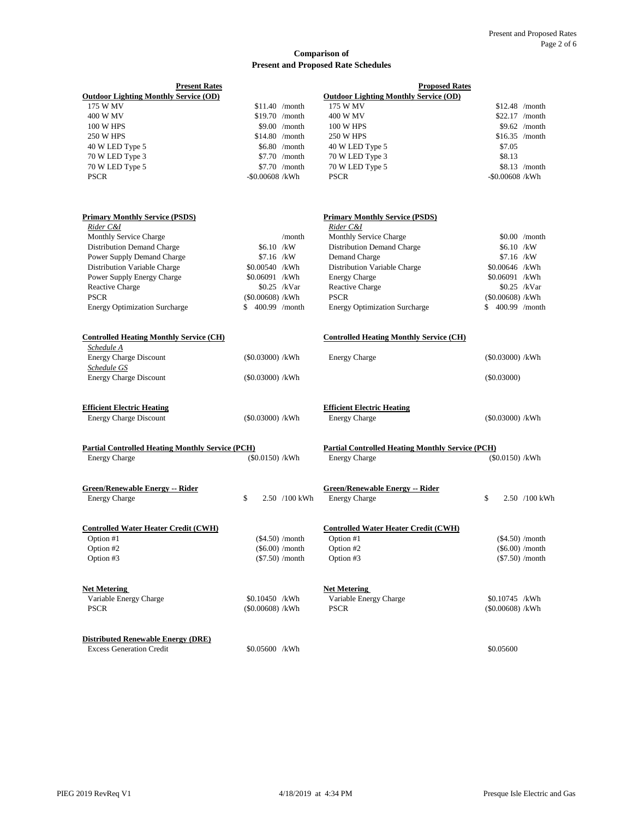#### **Comparison of Present and Proposed Rate Schedules**

| <b>Present Rates</b><br><b>Outdoor Lighting Monthly Service (OD)</b>               |                                    |                                                             | <b>Proposed Rates</b><br><b>Outdoor Lighting Monthly Service (OD)</b>                |                |                                                             |
|------------------------------------------------------------------------------------|------------------------------------|-------------------------------------------------------------|--------------------------------------------------------------------------------------|----------------|-------------------------------------------------------------|
| 175 W MV                                                                           |                                    | $$11.40$ /month                                             | 175 W MV                                                                             |                | $$12.48$ /month                                             |
| 400 W MV                                                                           |                                    | \$19.70 /month                                              | 400 W MV                                                                             |                | $$22.17$ /month                                             |
| 100 W HPS                                                                          |                                    | $$9.00$ /month                                              | 100 W HPS                                                                            |                | $$9.62$ /month                                              |
| <b>250 W HPS</b>                                                                   |                                    | $$14.80$ /month                                             | <b>250 W HPS</b>                                                                     |                | $$16.35$ /month                                             |
| 40 W LED Type 5                                                                    |                                    | \$6.80 /month                                               | 40 W LED Type 5                                                                      | \$7.05         |                                                             |
| 70 W LED Type 3                                                                    |                                    | $$7.70$ /month                                              | 70 W LED Type 3                                                                      | \$8.13         |                                                             |
| 70 W LED Type 5                                                                    |                                    | \$7.70 /month                                               | 70 W LED Type 5                                                                      |                | $$8.13$ /month                                              |
| <b>PSCR</b>                                                                        | $-$ \$0.00608 /kWh                 |                                                             | <b>PSCR</b>                                                                          |                | $-$ \$0.00608 /kWh                                          |
| <b>Primary Monthly Service (PSDS)</b><br>Rider C&I                                 |                                    |                                                             | <b>Primary Monthly Service (PSDS)</b><br>Rider C&I                                   |                |                                                             |
| <b>Monthly Service Charge</b>                                                      |                                    | /month                                                      | Monthly Service Charge                                                               |                | $$0.00$ /month                                              |
| <b>Distribution Demand Charge</b>                                                  | \$6.10 /kW                         |                                                             | Distribution Demand Charge                                                           |                | \$6.10 /kW                                                  |
| Power Supply Demand Charge                                                         | $$7.16$ /kW                        |                                                             | Demand Charge                                                                        |                | \$7.16 /kW                                                  |
| Distribution Variable Charge                                                       | \$0.00540 /kWh                     |                                                             | Distribution Variable Charge                                                         |                | \$0.00646 /kWh                                              |
| Power Supply Energy Charge                                                         | \$0.06091 /kWh                     |                                                             | <b>Energy Charge</b>                                                                 |                | \$0.06091 /kWh                                              |
| <b>Reactive Charge</b>                                                             |                                    | $$0.25$ /kVar                                               | Reactive Charge                                                                      |                | $$0.25$ /kVar                                               |
| <b>PSCR</b>                                                                        | $(S0.00608)$ /kWh                  |                                                             | <b>PSCR</b>                                                                          |                | $(S0.00608)$ /kWh                                           |
| <b>Energy Optimization Surcharge</b>                                               | 400.99 /month<br>\$.               |                                                             | <b>Energy Optimization Surcharge</b>                                                 | \$             | 400.99 /month                                               |
| <b>Controlled Heating Monthly Service (CH)</b><br>Schedule A                       |                                    |                                                             | <b>Controlled Heating Monthly Service (CH)</b>                                       |                |                                                             |
| <b>Energy Charge Discount</b>                                                      | $(\$0.03000)$ /kWh                 |                                                             | <b>Energy Charge</b>                                                                 |                | $(\$0.03000)$ /kWh                                          |
| Schedule GS                                                                        |                                    |                                                             |                                                                                      |                |                                                             |
| <b>Energy Charge Discount</b>                                                      | (\$0.03000) /kWh                   |                                                             |                                                                                      | $($ \$0.03000) |                                                             |
| <b>Efficient Electric Heating</b>                                                  |                                    |                                                             | <b>Efficient Electric Heating</b>                                                    |                |                                                             |
| <b>Energy Charge Discount</b>                                                      | $(\$0.03000)$ /kWh                 |                                                             | <b>Energy Charge</b>                                                                 |                | $(\$0.03000)$ /kWh                                          |
| <b>Partial Controlled Heating Monthly Service (PCH)</b><br><b>Energy Charge</b>    | (\$0.0150) /kWh                    |                                                             | <b>Partial Controlled Heating Monthly Service (PCH)</b><br><b>Energy Charge</b>      |                | (\$0.0150) /kWh                                             |
| <b>Green/Renewable Energy -- Rider</b><br><b>Energy Charge</b>                     | \$                                 | 2.50 /100 kWh                                               | <b>Green/Renewable Energy -- Rider</b><br><b>Energy Charge</b>                       | \$             | 2.50 /100 kWh                                               |
| <b>Controlled Water Heater Credit (CWH)</b><br>Option #1<br>Option #2<br>Option #3 |                                    | $(\$4.50)$ /month<br>$(\$6.00)$ /month<br>$(\$7.50)$ /month | <b>Controlled Water Heater Credit (CWH)</b><br>Option $#1$<br>Option #2<br>Option #3 |                | $(\$4.50)$ /month<br>$(\$6.00)$ /month<br>$(\$7.50)$ /month |
| <b>Net Metering</b><br>Variable Energy Charge<br><b>PSCR</b>                       | \$0.10450 /kWh<br>(\$0.00608) /kWh |                                                             | <b>Net Metering</b><br>Variable Energy Charge<br><b>PSCR</b>                         |                | \$0.10745 /kWh<br>$(\$0.00608)$ /kWh                        |

**Distributed Renewable Energy (DRE)** 

Excess Generation Credit  $$0.05600$  /kWh  $$0.05600$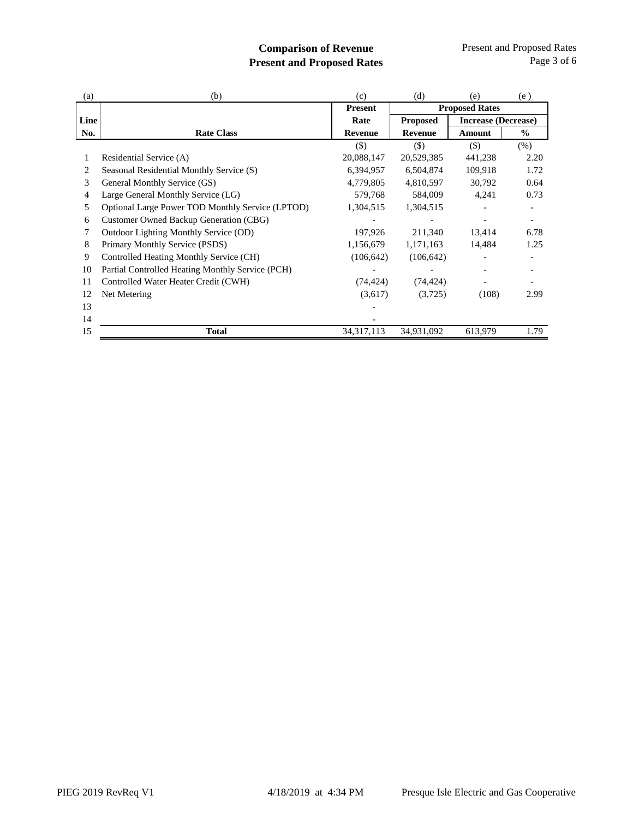### **Comparison of Revenue Present and Proposed Rates**

| (b)                                                     | (c)            | (d)             | (e)     | (e)                                                 |
|---------------------------------------------------------|----------------|-----------------|---------|-----------------------------------------------------|
|                                                         | <b>Present</b> |                 |         |                                                     |
|                                                         | Rate           | <b>Proposed</b> |         |                                                     |
| <b>Rate Class</b>                                       | <b>Revenue</b> | <b>Revenue</b>  | Amount  | $\frac{0}{0}$                                       |
|                                                         | $($)$          | $($)$           | $(\$)$  | $(\% )$                                             |
| Residential Service (A)                                 | 20,088,147     | 20,529,385      | 441,238 | 2.20                                                |
| Seasonal Residential Monthly Service (S)                | 6,394,957      | 6,504,874       | 109,918 | 1.72                                                |
| General Monthly Service (GS)                            | 4,779,805      | 4,810,597       | 30,792  | 0.64                                                |
| Large General Monthly Service (LG)                      | 579,768        | 584,009         | 4,241   | 0.73                                                |
| <b>Optional Large Power TOD Monthly Service (LPTOD)</b> | 1,304,515      | 1,304,515       |         |                                                     |
| Customer Owned Backup Generation (CBG)                  |                |                 |         | $\overline{\phantom{a}}$                            |
| Outdoor Lighting Monthly Service (OD)                   | 197,926        | 211,340         | 13,414  | 6.78                                                |
| Primary Monthly Service (PSDS)                          | 1,156,679      | 1,171,163       | 14,484  | 1.25                                                |
| Controlled Heating Monthly Service (CH)                 | (106, 642)     | (106, 642)      |         |                                                     |
| Partial Controlled Heating Monthly Service (PCH)        |                |                 |         |                                                     |
| Controlled Water Heater Credit (CWH)                    | (74, 424)      | (74, 424)       |         |                                                     |
| Net Metering                                            | (3,617)        | (3,725)         | (108)   | 2.99                                                |
|                                                         |                |                 |         |                                                     |
|                                                         |                |                 |         |                                                     |
| Total                                                   | 34, 317, 113   | 34,931,092      | 613,979 | 1.79                                                |
|                                                         | Line           |                 |         | <b>Proposed Rates</b><br><b>Increase (Decrease)</b> |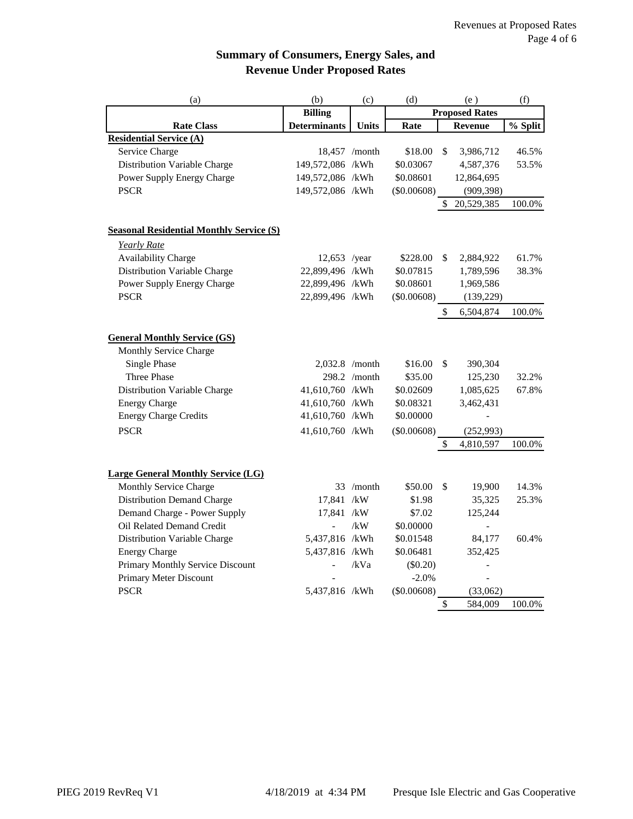## **Summary of Consumers, Energy Sales, and Revenue Under Proposed Rates**

| (a)                                             | (b)                 | (c)           | (d)<br>(e)            |     | (f)            |                       |
|-------------------------------------------------|---------------------|---------------|-----------------------|-----|----------------|-----------------------|
|                                                 | <b>Billing</b>      |               | <b>Proposed Rates</b> |     |                |                       |
| <b>Rate Class</b>                               | <b>Determinants</b> | Units         | Rate                  |     | Revenue        | $\overline{\%}$ Split |
| <b>Residential Service (A)</b>                  |                     |               |                       |     |                |                       |
| Service Charge                                  |                     | 18,457 /month | \$18.00               | \$  | 3,986,712      | 46.5%                 |
| Distribution Variable Charge                    | 149,572,086 /kWh    |               | \$0.03067             |     | 4,587,376      | 53.5%                 |
| Power Supply Energy Charge                      | 149,572,086 /kWh    |               | \$0.08601             |     | 12,864,695     |                       |
| <b>PSCR</b>                                     | 149,572,086 /kWh    |               | (\$0.00608)           |     | (909, 398)     |                       |
|                                                 |                     |               |                       | \$. | 20,529,385     | 100.0%                |
| <b>Seasonal Residential Monthly Service (S)</b> |                     |               |                       |     |                |                       |
| Yearly Rate                                     |                     |               |                       |     |                |                       |
| <b>Availability Charge</b>                      | 12,653 /year        |               | \$228.00              | \$  | 2,884,922      | 61.7%                 |
| Distribution Variable Charge                    | 22,899,496 /kWh     |               | \$0.07815             |     | 1,789,596      | 38.3%                 |
| Power Supply Energy Charge                      | 22,899,496 /kWh     |               | \$0.08601             |     | 1,969,586      |                       |
| <b>PSCR</b>                                     | 22,899,496 /kWh     |               | (\$0.00608)           |     | (139, 229)     |                       |
|                                                 |                     |               |                       | \$  | 6,504,874      | 100.0%                |
|                                                 |                     |               |                       |     |                |                       |
| <b>General Monthly Service (GS)</b>             |                     |               |                       |     |                |                       |
| Monthly Service Charge<br><b>Single Phase</b>   | $2,032.8$ /month    |               | \$16.00               | \$  | 390,304        |                       |
| Three Phase                                     |                     | 298.2 /month  | \$35.00               |     | 125,230        | 32.2%                 |
| Distribution Variable Charge                    | 41,610,760 /kWh     |               | \$0.02609             |     | 1,085,625      | 67.8%                 |
| <b>Energy Charge</b>                            | 41,610,760 /kWh     |               | \$0.08321             |     | 3,462,431      |                       |
| <b>Energy Charge Credits</b>                    | 41,610,760 /kWh     |               | \$0.00000             |     | $\overline{a}$ |                       |
| <b>PSCR</b>                                     | 41,610,760 /kWh     |               | (\$0.00608)           |     | (252,993)      |                       |
|                                                 |                     |               |                       | \$  | 4,810,597      | 100.0%                |
|                                                 |                     |               |                       |     |                |                       |
| <b>Large General Monthly Service (LG)</b>       |                     |               |                       |     |                |                       |
| Monthly Service Charge                          |                     | 33 /month     | \$50.00               | \$  | 19,900         | 14.3%                 |
| <b>Distribution Demand Charge</b>               | 17,841 /kW          |               | \$1.98                |     | 35,325         | 25.3%                 |
| Demand Charge - Power Supply                    | 17,841 /kW          |               | \$7.02                |     | 125,244        |                       |
| Oil Related Demand Credit                       | $\overline{a}$      | /kW           | \$0.00000             |     | $\overline{a}$ |                       |
| Distribution Variable Charge                    | 5,437,816 /kWh      |               | \$0.01548             |     | 84,177         | 60.4%                 |
| <b>Energy Charge</b>                            | 5,437,816 /kWh      |               | \$0.06481             |     | 352,425        |                       |
| Primary Monthly Service Discount                |                     | /kVa          | $(\$0.20)$            |     |                |                       |
| Primary Meter Discount                          |                     |               | $-2.0%$               |     | $\overline{a}$ |                       |
| <b>PSCR</b>                                     | 5,437,816 /kWh      |               | (\$0.00608)           |     | (33,062)       |                       |
|                                                 |                     |               |                       | \$  | 584,009        | 100.0%                |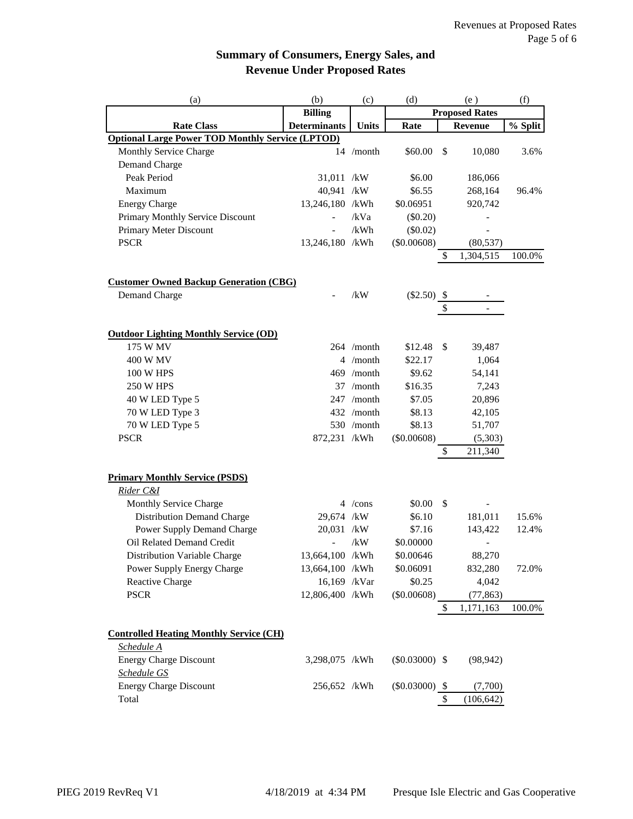# **Summary of Consumers, Energy Sales, and Revenue Under Proposed Rates**

| (a)                                                     | (b)                 | (c)          | (d)<br>(e)        |               | (f)                   |         |
|---------------------------------------------------------|---------------------|--------------|-------------------|---------------|-----------------------|---------|
|                                                         | <b>Billing</b>      |              |                   |               | <b>Proposed Rates</b> |         |
| <b>Rate Class</b>                                       | <b>Determinants</b> | Units        | Rate              |               | <b>Revenue</b>        | % Split |
| <b>Optional Large Power TOD Monthly Service (LPTOD)</b> |                     |              |                   |               |                       |         |
| Monthly Service Charge                                  |                     | 14 /month    | \$60.00           | $\mathcal{S}$ | 10,080                | 3.6%    |
| Demand Charge                                           |                     |              |                   |               |                       |         |
| Peak Period                                             | 31,011 /kW          |              | \$6.00            |               | 186,066               |         |
| Maximum                                                 | 40,941 /kW          |              | \$6.55            |               | 268,164               | 96.4%   |
| <b>Energy Charge</b>                                    | 13,246,180 /kWh     |              | \$0.06951         |               | 920,742               |         |
| Primary Monthly Service Discount                        |                     | /kVa         | $(\$0.20)$        |               |                       |         |
| Primary Meter Discount                                  |                     | /kWh         | (\$0.02)          |               |                       |         |
| <b>PSCR</b>                                             | 13,246,180 /kWh     |              | (\$0.00608)       |               | (80, 537)             |         |
|                                                         |                     |              |                   | \$            | 1,304,515             | 100.0%  |
|                                                         |                     |              |                   |               |                       |         |
| <b>Customer Owned Backup Generation (CBG)</b>           |                     |              |                   |               |                       |         |
| Demand Charge                                           |                     | /kW          | $(\$2.50)$ \,     |               |                       |         |
|                                                         |                     |              |                   | \$            |                       |         |
|                                                         |                     |              |                   |               |                       |         |
| <b>Outdoor Lighting Monthly Service (OD)</b>            |                     |              |                   |               |                       |         |
| 175 W MV                                                |                     | 264 /month   | \$12.48           | \$            | 39,487                |         |
| 400 W MV                                                |                     | 4 /month     | \$22.17           |               | 1,064                 |         |
| 100 W HPS                                               |                     | 469 /month   | \$9.62            |               | 54,141                |         |
| <b>250 W HPS</b>                                        |                     | 37 /month    | \$16.35           |               | 7,243                 |         |
| 40 W LED Type 5                                         |                     | 247 /month   | \$7.05            |               | 20,896                |         |
| 70 W LED Type 3                                         |                     | 432 /month   | \$8.13            |               | 42,105                |         |
| 70 W LED Type 5                                         |                     | $530$ /month | \$8.13            |               | 51,707                |         |
| <b>PSCR</b>                                             | 872,231 /kWh        |              | (\$0.00608)       |               | (5,303)               |         |
|                                                         |                     |              |                   | \$            | 211,340               |         |
|                                                         |                     |              |                   |               |                       |         |
| <b>Primary Monthly Service (PSDS)</b>                   |                     |              |                   |               |                       |         |
| Rider C&I                                               |                     |              |                   |               |                       |         |
| Monthly Service Charge                                  |                     | $4$ /cons    | \$0.00            | \$            |                       |         |
| <b>Distribution Demand Charge</b>                       | 29,674 /kW          |              | \$6.10            |               | 181,011               | 15.6%   |
| Power Supply Demand Charge                              | 20,031 /kW          |              | \$7.16            |               | 143,422               | 12.4%   |
| Oil Related Demand Credit                               | $\overline{a}$      | /kW          | \$0.00000         |               |                       |         |
| Distribution Variable Charge                            | 13,664,100 /kWh     |              | \$0.00646         |               | 88,270                |         |
| Power Supply Energy Charge                              | 13,664,100 /kWh     |              | \$0.06091         |               | 832,280               | 72.0%   |
| Reactive Charge                                         | 16,169 /kVar        |              | \$0.25            |               | 4,042                 |         |
| <b>PSCR</b>                                             | 12,806,400 /kWh     |              | (\$0.00608)       |               | (77, 863)             |         |
|                                                         |                     |              |                   | \$            | 1,171,163             | 100.0%  |
|                                                         |                     |              |                   |               |                       |         |
| <b>Controlled Heating Monthly Service (CH)</b>          |                     |              |                   |               |                       |         |
| Schedule A                                              |                     |              |                   |               |                       |         |
| <b>Energy Charge Discount</b>                           | 3,298,075 /kWh      |              | $(\$0.03000)$ \\$ |               | (98, 942)             |         |
| Schedule GS                                             |                     |              |                   |               |                       |         |
| <b>Energy Charge Discount</b>                           | 256,652 /kWh        |              | $(\$0.03000)$ \\$ |               | (7,700)               |         |
| Total                                                   |                     |              |                   | \$            | (106, 642)            |         |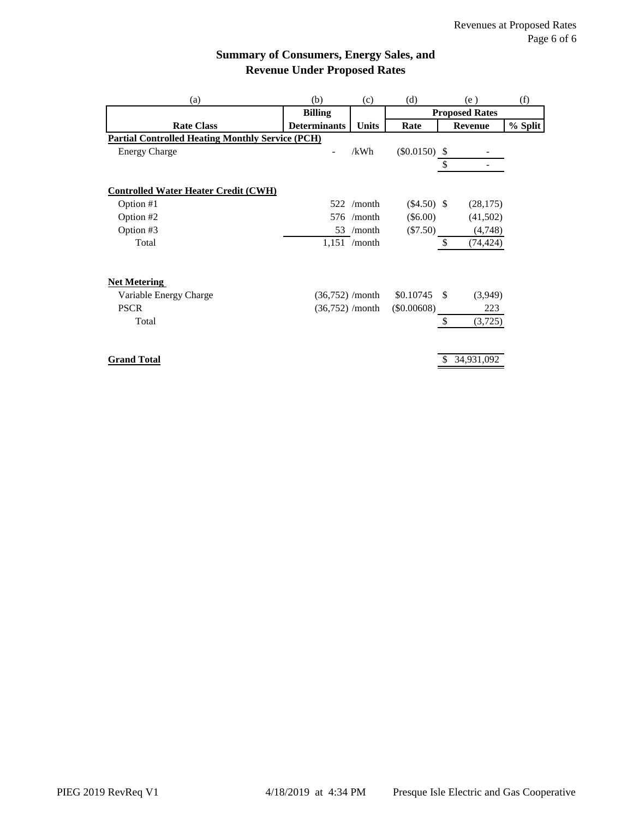# **Summary of Consumers, Energy Sales, and Revenue Under Proposed Rates**

| (b)                                                     | (c)          | (d)                                                                                          |                           | (e)                                                                           | (f)                                                   |
|---------------------------------------------------------|--------------|----------------------------------------------------------------------------------------------|---------------------------|-------------------------------------------------------------------------------|-------------------------------------------------------|
| <b>Billing</b>                                          |              |                                                                                              |                           |                                                                               |                                                       |
| <b>Determinants</b>                                     | <b>Units</b> | Rate                                                                                         |                           |                                                                               | % Split                                               |
| <b>Partial Controlled Heating Monthly Service (PCH)</b> |              |                                                                                              |                           |                                                                               |                                                       |
|                                                         | /kWh         |                                                                                              |                           |                                                                               |                                                       |
|                                                         |              |                                                                                              | \$                        |                                                                               |                                                       |
|                                                         |              |                                                                                              |                           |                                                                               |                                                       |
|                                                         |              |                                                                                              |                           |                                                                               |                                                       |
| 522                                                     |              |                                                                                              |                           | (28, 175)                                                                     |                                                       |
| 576                                                     |              |                                                                                              |                           | (41,502)                                                                      |                                                       |
|                                                         |              |                                                                                              |                           | (4,748)                                                                       |                                                       |
|                                                         |              |                                                                                              | $\mathcal{S}$             | (74, 424)                                                                     |                                                       |
|                                                         |              |                                                                                              |                           |                                                                               |                                                       |
|                                                         |              | \$0.10745                                                                                    |                           | (3,949)                                                                       |                                                       |
|                                                         |              | $(\$0.00608)$                                                                                |                           | 223                                                                           |                                                       |
|                                                         |              |                                                                                              | $\boldsymbol{\mathsf{S}}$ | (3,725)                                                                       |                                                       |
|                                                         |              |                                                                                              |                           |                                                                               |                                                       |
|                                                         |              | $/$ month<br>/month<br>53 /month<br>$1,151$ /month<br>$(36,752)$ /month<br>$(36,752)$ /month |                           | $(\$0.0150)$ \\$<br>$(\$4.50)$ \,<br>$(\$6.00)$<br>$(\$7.50)$<br>$\mathbf{s}$ | <b>Proposed Rates</b><br><b>Revenue</b><br>34,931,092 |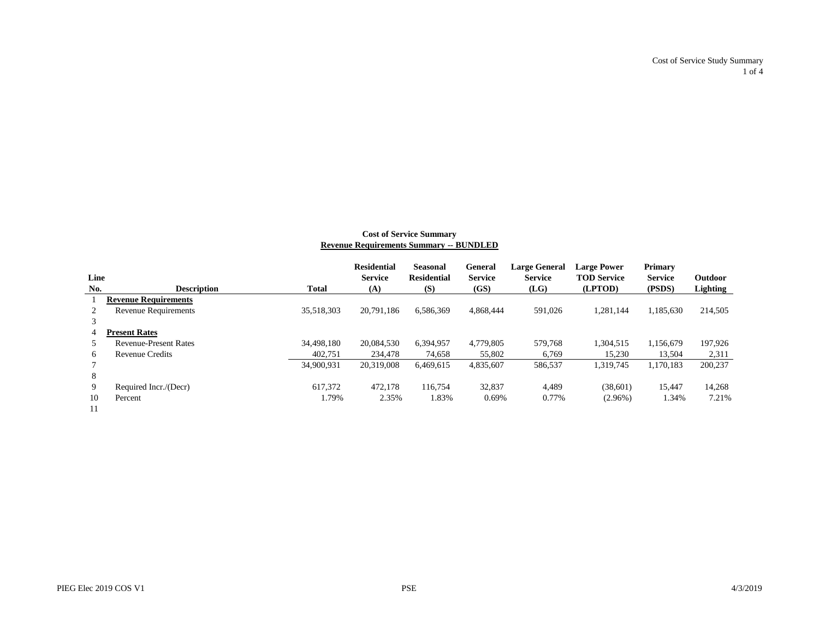Cost of Service Study Summary 1 of 4

#### **Cost of Service Summary Revenue Requirements Summary -- BUNDLED**

|      |                              |            | <b>Residential</b> | <b>Seasonal</b>    | <b>General</b> | <b>Large General</b> | <b>Large Power</b> | <b>Primary</b> |          |
|------|------------------------------|------------|--------------------|--------------------|----------------|----------------------|--------------------|----------------|----------|
| Line |                              |            | <b>Service</b>     | <b>Residential</b> | <b>Service</b> | <b>Service</b>       | <b>TOD Service</b> | <b>Service</b> | Outdoor  |
| No.  | <b>Description</b>           | Total      | (A)                | (S)                | (GS)           | (LG)                 | (LPTOD)            | (PSDS)         | Lighting |
|      | <b>Revenue Requirements</b>  |            |                    |                    |                |                      |                    |                |          |
|      | <b>Revenue Requirements</b>  | 35,518,303 | 20.791.186         | 6,586,369          | 4.868.444      | 591.026              | 1.281.144          | 1,185,630      | 214,505  |
|      |                              |            |                    |                    |                |                      |                    |                |          |
| 4    | <b>Present Rates</b>         |            |                    |                    |                |                      |                    |                |          |
|      | <b>Revenue-Present Rates</b> | 34,498,180 | 20.084.530         | 6.394.957          | 4,779,805      | 579.768              | 1.304.515          | 1.156.679      | 197,926  |
| 6    | <b>Revenue Credits</b>       | 402.751    | 234,478            | 74.658             | 55,802         | 6.769                | 15,230             | 13.504         | 2,311    |
|      |                              | 34,900,931 | 20,319,008         | 6,469,615          | 4,835,607      | 586,537              | 1,319,745          | 1,170,183      | 200,237  |
| 8    |                              |            |                    |                    |                |                      |                    |                |          |
| 9    | Required Incr./(Decr)        | 617.372    | 472.178            | 116,754            | 32,837         | 4.489                | (38,601)           | 15,447         | 14,268   |
| 10   | Percent                      | 1.79%      | 2.35%              | 1.83%              | 0.69%          | 0.77%                | $(2.96\%)$         | 1.34%          | 7.21%    |
|      |                              |            |                    |                    |                |                      |                    |                |          |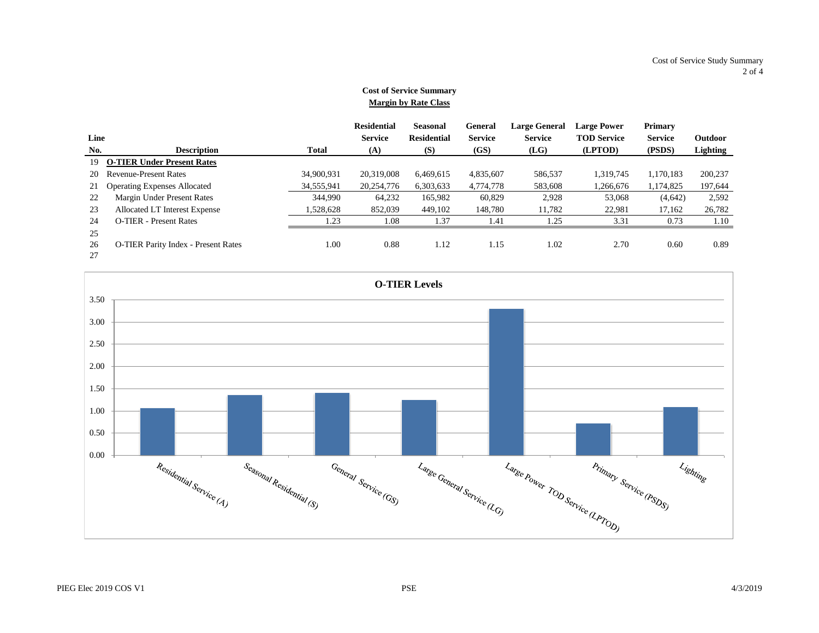#### **Cost of Service Summary Margin by Rate Class**

|      |                                            |              | <b>Residential</b> | <b>Seasonal</b>    | General        | <b>Large General</b> | <b>Large Power</b> | <b>Primary</b> |          |
|------|--------------------------------------------|--------------|--------------------|--------------------|----------------|----------------------|--------------------|----------------|----------|
| Line |                                            |              | <b>Service</b>     | <b>Residential</b> | <b>Service</b> | <b>Service</b>       | <b>TOD Service</b> | <b>Service</b> | Outdoor  |
| No.  | <b>Description</b>                         | <b>Total</b> | (A)                | (S)                | (GS)           | (LG)                 | (LPTOD)            | (PSDS)         | Lighting |
| 19   | <b>O-TIER Under Present Rates</b>          |              |                    |                    |                |                      |                    |                |          |
| 20   | <b>Revenue-Present Rates</b>               | 34,900,931   | 20,319,008         | 6.469.615          | 4,835,607      | 586,537              | 1.319.745          | 1.170.183      | 200,237  |
| 21   | <b>Operating Expenses Allocated</b>        | 34,555,941   | 20,254,776         | 6,303,633          | 4,774,778      | 583,608              | 1,266,676          | 1,174,825      | 197,644  |
| 22   | Margin Under Present Rates                 | 344,990      | 64,232             | 165,982            | 60,829         | 2,928                | 53,068             | (4,642)        | 2,592    |
| 23   | Allocated LT Interest Expense              | 1,528,628    | 852,039            | 449,102            | 148,780        | 11.782               | 22,981             | 17.162         | 26,782   |
| 24   | <b>O-TIER</b> - Present Rates              | 1.23         | 1.08               | 1.37               | 1.41           | 1.25                 | 3.31               | 0.73           | 1.10     |
| 25   |                                            |              |                    |                    |                |                      |                    |                |          |
| 26   | <b>O-TIER Parity Index - Present Rates</b> | 1.00         | 0.88               | 1.12               | 1.15           | 1.02                 | 2.70               | 0.60           | 0.89     |
| 27   |                                            |              |                    |                    |                |                      |                    |                |          |

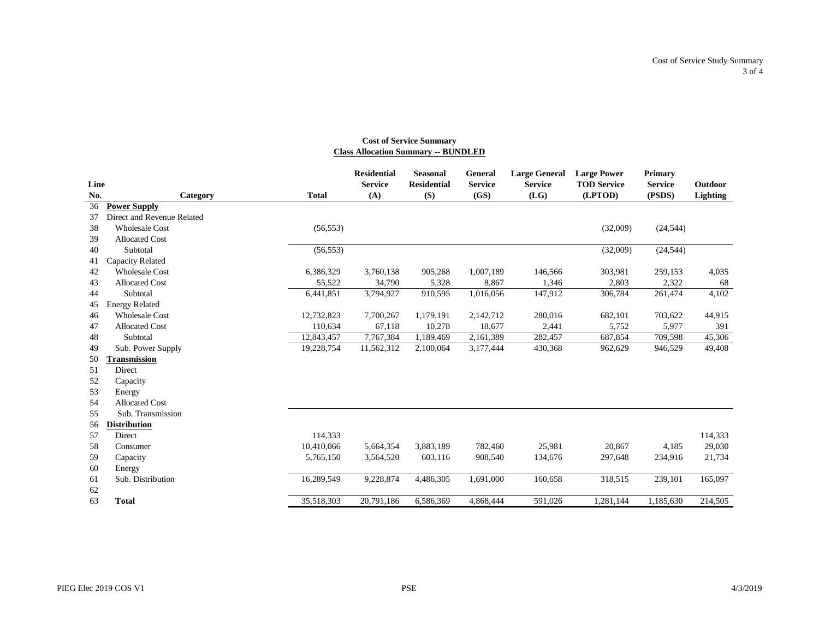#### **Cost of Service Summary Class Allocation Summary -- BUNDLED**

|      |                            |              | <b>Residential</b> | <b>Seasonal</b>    | <b>General</b> | <b>Large General</b> | <b>Large Power</b> | <b>Primary</b> |          |
|------|----------------------------|--------------|--------------------|--------------------|----------------|----------------------|--------------------|----------------|----------|
| Line |                            |              | <b>Service</b>     | <b>Residential</b> | <b>Service</b> | <b>Service</b>       | <b>TOD Service</b> | <b>Service</b> | Outdoor  |
| No.  | Category                   | <b>Total</b> | (A)                | (S)                | (GS)           | (LG)                 | (LPTOD)            | (PSDS)         | Lighting |
| 36   | <b>Power Supply</b>        |              |                    |                    |                |                      |                    |                |          |
| 37   | Direct and Revenue Related |              |                    |                    |                |                      |                    |                |          |
| 38   | <b>Wholesale Cost</b>      | (56, 553)    |                    |                    |                |                      | (32,009)           | (24, 544)      |          |
| 39   | <b>Allocated Cost</b>      |              |                    |                    |                |                      |                    |                |          |
| 40   | Subtotal                   | (56, 553)    |                    |                    |                |                      | (32,009)           | (24, 544)      |          |
| 41   | Capacity Related           |              |                    |                    |                |                      |                    |                |          |
| 42   | <b>Wholesale Cost</b>      | 6,386,329    | 3,760,138          | 905,268            | 1,007,189      | 146,566              | 303,981            | 259,153        | 4,035    |
| 43   | <b>Allocated Cost</b>      | 55,522       | 34,790             | 5,328              | 8,867          | 1,346                | 2,803              | 2,322          | 68       |
| 44   | Subtotal                   | 6,441,851    | 3,794,927          | 910,595            | 1,016,056      | 147,912              | 306,784            | 261,474        | 4,102    |
| 45   | <b>Energy Related</b>      |              |                    |                    |                |                      |                    |                |          |
| 46   | <b>Wholesale Cost</b>      | 12,732,823   | 7,700,267          | 1,179,191          | 2,142,712      | 280,016              | 682,101            | 703,622        | 44,915   |
| 47   | <b>Allocated Cost</b>      | 110.634      | 67,118             | 10,278             | 18,677         | 2,441                | 5,752              | 5,977          | 391      |
| 48   | Subtotal                   | 12,843,457   | 7,767,384          | 1,189,469          | 2,161,389      | 282,457              | 687,854            | 709,598        | 45,306   |
| 49   | Sub. Power Supply          | 19,228,754   | 11,562,312         | 2,100,064          | 3,177,444      | 430,368              | 962,629            | 946,529        | 49,408   |
| 50   | Fransmission               |              |                    |                    |                |                      |                    |                |          |
| 51   | Direct                     |              |                    |                    |                |                      |                    |                |          |
| 52   | Capacity                   |              |                    |                    |                |                      |                    |                |          |
| 53   | Energy                     |              |                    |                    |                |                      |                    |                |          |
| 54   | <b>Allocated Cost</b>      |              |                    |                    |                |                      |                    |                |          |
| 55   | Sub. Transmission          |              |                    |                    |                |                      |                    |                |          |
| 56   | <b>Distribution</b>        |              |                    |                    |                |                      |                    |                |          |
| 57   | Direct                     | 114,333      |                    |                    |                |                      |                    |                | 114,333  |
| 58   | Consumer                   | 10,410,066   | 5,664,354          | 3,883,189          | 782,460        | 25,981               | 20,867             | 4,185          | 29,030   |
| 59   | Capacity                   | 5,765,150    | 3,564,520          | 603,116            | 908,540        | 134,676              | 297,648            | 234,916        | 21,734   |
| 60   | Energy                     |              |                    |                    |                |                      |                    |                |          |
| 61   | Sub. Distribution          | 16,289,549   | 9,228,874          | 4,486,305          | 1,691,000      | 160,658              | 318,515            | 239,101        | 165,097  |
| 62   |                            |              |                    |                    |                |                      |                    |                |          |
| 63   | <b>Total</b>               | 35,518,303   | 20,791,186         | 6,586,369          | 4,868,444      | 591,026              | 1,281,144          | 1,185,630      | 214,505  |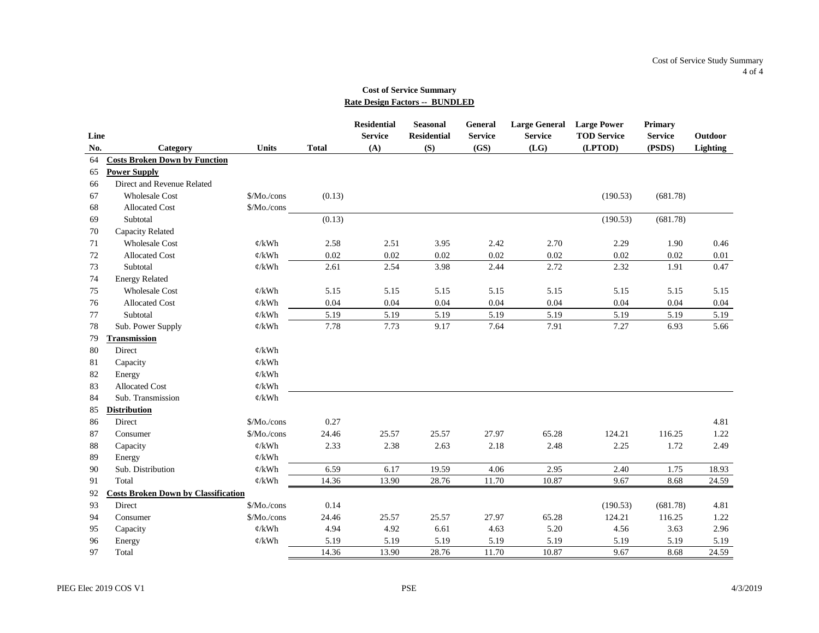#### **Cost of Service Summary Rate Design Factors -- BUNDLED**

|      |                                            |                   |              | <b>Residential</b> | <b>Seasonal</b>    | General        | Large General Large Power |                    | <b>Primary</b> |          |
|------|--------------------------------------------|-------------------|--------------|--------------------|--------------------|----------------|---------------------------|--------------------|----------------|----------|
| Line |                                            |                   |              | <b>Service</b>     | <b>Residential</b> | <b>Service</b> | <b>Service</b>            | <b>TOD Service</b> | <b>Service</b> | Outdoor  |
| No.  | Category                                   | <b>Units</b>      | <b>Total</b> | (A)                | (S)                | (GS)           | (LG)                      | (LPTOD)            | (PSDS)         | Lighting |
| 64   | <b>Costs Broken Down by Function</b>       |                   |              |                    |                    |                |                           |                    |                |          |
| 65   | <b>Power Supply</b>                        |                   |              |                    |                    |                |                           |                    |                |          |
| 66   | Direct and Revenue Related                 |                   |              |                    |                    |                |                           |                    |                |          |
| 67   | <b>Wholesale Cost</b>                      | $Mo$ ./cons       | (0.13)       |                    |                    |                |                           | (190.53)           | (681.78)       |          |
| 68   | <b>Allocated Cost</b>                      | \$/Mo./cons       |              |                    |                    |                |                           |                    |                |          |
| 69   | Subtotal                                   |                   | (0.13)       |                    |                    |                |                           | (190.53)           | (681.78)       |          |
| 70   | Capacity Related                           |                   |              |                    |                    |                |                           |                    |                |          |
| 71   | <b>Wholesale Cost</b>                      | $\phi$ /kWh       | 2.58         | 2.51               | 3.95               | 2.42           | 2.70                      | 2.29               | 1.90           | 0.46     |
| 72   | <b>Allocated Cost</b>                      | $\phi$ /kWh       | 0.02         | 0.02               | 0.02               | 0.02           | 0.02                      | 0.02               | 0.02           | 0.01     |
| 73   | Subtotal                                   | $\mathcal{C}/kWh$ | 2.61         | 2.54               | 3.98               | 2.44           | 2.72                      | 2.32               | 1.91           | 0.47     |
| 74   | <b>Energy Related</b>                      |                   |              |                    |                    |                |                           |                    |                |          |
| 75   | <b>Wholesale Cost</b>                      | $\phi$ /kWh       | 5.15         | 5.15               | 5.15               | 5.15           | 5.15                      | 5.15               | 5.15           | 5.15     |
| 76   | <b>Allocated Cost</b>                      | $\mathcal{C}/kWh$ | 0.04         | 0.04               | 0.04               | 0.04           | 0.04                      | 0.04               | 0.04           | 0.04     |
| 77   | Subtotal                                   | $\mathcal{C}/kWh$ | 5.19         | 5.19               | 5.19               | 5.19           | 5.19                      | 5.19               | 5.19           | 5.19     |
| 78   | Sub. Power Supply                          | $\phi$ /kWh       | 7.78         | 7.73               | 9.17               | 7.64           | 7.91                      | 7.27               | 6.93           | 5.66     |
| 79   | <b>Transmission</b>                        |                   |              |                    |                    |                |                           |                    |                |          |
| 80   | Direct                                     | $\phi$ /kWh       |              |                    |                    |                |                           |                    |                |          |
| 81   | Capacity                                   | $\mathcal{C}/kWh$ |              |                    |                    |                |                           |                    |                |          |
| 82   | Energy                                     | $\phi$ /kWh       |              |                    |                    |                |                           |                    |                |          |
| 83   | <b>Allocated Cost</b>                      | $\phi$ /kWh       |              |                    |                    |                |                           |                    |                |          |
| 84   | Sub. Transmission                          | $\mathcal{C}/kWh$ |              |                    |                    |                |                           |                    |                |          |
| 85   | <b>Distribution</b>                        |                   |              |                    |                    |                |                           |                    |                |          |
| 86   | Direct                                     | \$/Mo./cons       | 0.27         |                    |                    |                |                           |                    |                | 4.81     |
| 87   | Consumer                                   | \$/Mo./cons       | 24.46        | 25.57              | 25.57              | 27.97          | 65.28                     | 124.21             | 116.25         | 1.22     |
| 88   | Capacity                                   | $\mathcal{C}/kWh$ | 2.33         | 2.38               | 2.63               | 2.18           | 2.48                      | 2.25               | 1.72           | 2.49     |
| 89   | Energy                                     | $\phi$ /kWh       |              |                    |                    |                |                           |                    |                |          |
| 90   | Sub. Distribution                          | $\phi/\text{kWh}$ | 6.59         | 6.17               | 19.59              | 4.06           | 2.95                      | 2.40               | 1.75           | 18.93    |
| 91   | Total                                      | $\phi/\text{kWh}$ | 14.36        | 13.90              | 28.76              | 11.70          | 10.87                     | 9.67               | 8.68           | 24.59    |
| 92   | <b>Costs Broken Down by Classification</b> |                   |              |                    |                    |                |                           |                    |                |          |
| 93   | Direct                                     | \$/Mo./cons       | 0.14         |                    |                    |                |                           | (190.53)           | (681.78)       | 4.81     |
| 94   | Consumer                                   | \$/Mo./cons       | 24.46        | 25.57              | 25.57              | 27.97          | 65.28                     | 124.21             | 116.25         | 1.22     |
| 95   | Capacity                                   | $\mathcal{C}/kWh$ | 4.94         | 4.92               | 6.61               | 4.63           | 5.20                      | 4.56               | 3.63           | 2.96     |
| 96   | Energy                                     | $\mathcal{C}/kWh$ | 5.19         | 5.19               | 5.19               | 5.19           | 5.19                      | 5.19               | 5.19           | 5.19     |
| 97   | Total                                      |                   | 14.36        | 13.90              | 28.76              | 11.70          | 10.87                     | 9.67               | 8.68           | 24.59    |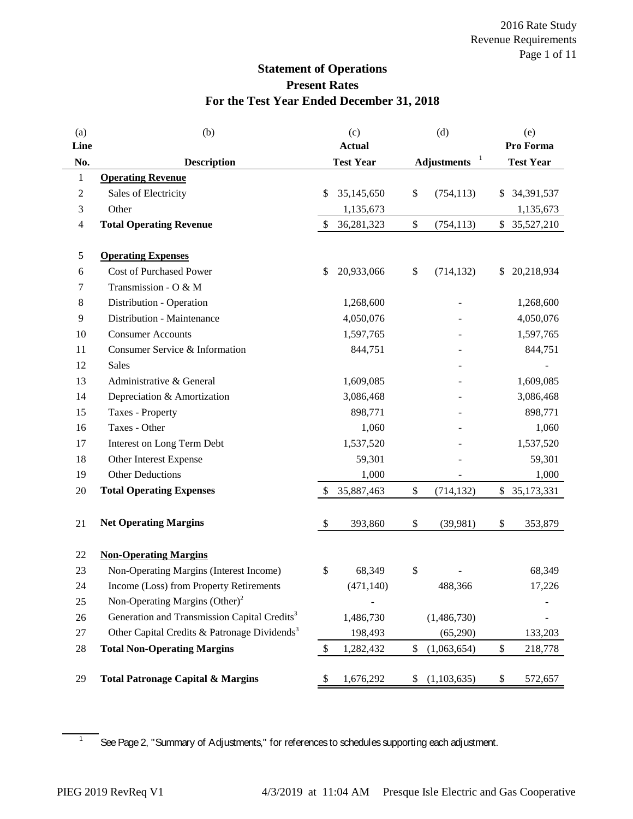# **Statement of Operations Present Rates For the Test Year Ended December 31, 2018**

| (a)  | (b)                                                      | (c)                       |                  | (d)    |                    |    | (e)              |
|------|----------------------------------------------------------|---------------------------|------------------|--------|--------------------|----|------------------|
| Line |                                                          |                           | <b>Actual</b>    |        | $\mathbf{I}$       |    | Pro Forma        |
| No.  | <b>Description</b>                                       |                           | <b>Test Year</b> |        | <b>Adjustments</b> |    | <b>Test Year</b> |
| 1    | <b>Operating Revenue</b>                                 |                           |                  |        |                    |    |                  |
| 2    | Sales of Electricity                                     | \$                        | 35,145,650       | \$     | (754, 113)         | \$ | 34,391,537       |
| 3    | Other                                                    |                           | 1,135,673        |        |                    |    | 1,135,673        |
| 4    | <b>Total Operating Revenue</b>                           | $\mathcal{S}$             | 36, 281, 323     | $\$\,$ | (754, 113)         |    | \$ 35,527,210    |
| 5    | <b>Operating Expenses</b>                                |                           |                  |        |                    |    |                  |
| 6    | Cost of Purchased Power                                  | \$                        | 20,933,066       | \$     | (714, 132)         | \$ | 20,218,934       |
| 7    | Transmission - O & M                                     |                           |                  |        |                    |    |                  |
| 8    | Distribution - Operation                                 |                           | 1,268,600        |        |                    |    | 1,268,600        |
| 9    | Distribution - Maintenance                               |                           | 4,050,076        |        |                    |    | 4,050,076        |
| 10   | <b>Consumer Accounts</b>                                 |                           | 1,597,765        |        |                    |    | 1,597,765        |
| 11   | Consumer Service & Information                           |                           | 844,751          |        |                    |    | 844,751          |
| 12   | Sales                                                    |                           |                  |        |                    |    |                  |
| 13   | Administrative & General                                 |                           | 1,609,085        |        |                    |    | 1,609,085        |
| 14   | Depreciation & Amortization                              |                           | 3,086,468        |        |                    |    | 3,086,468        |
| 15   | Taxes - Property                                         |                           | 898,771          |        |                    |    | 898,771          |
| 16   | Taxes - Other                                            |                           | 1,060            |        |                    |    | 1,060            |
| 17   | Interest on Long Term Debt                               |                           | 1,537,520        |        |                    |    | 1,537,520        |
| 18   | Other Interest Expense                                   |                           | 59,301           |        |                    |    | 59,301           |
| 19   | <b>Other Deductions</b>                                  |                           | 1,000            |        |                    |    | 1,000            |
| 20   | <b>Total Operating Expenses</b>                          | $\mathcal{S}$             | 35,887,463       | \$     | (714, 132)         |    | \$ 35,173,331    |
| 21   | <b>Net Operating Margins</b>                             | $\boldsymbol{\mathsf{S}}$ | 393,860          | \$     | (39,981)           | \$ | 353,879          |
|      |                                                          |                           |                  |        |                    |    |                  |
| 22   | <b>Non-Operating Margins</b>                             |                           |                  |        |                    |    |                  |
| 23   | Non-Operating Margins (Interest Income)                  | \$                        | 68,349           | \$     |                    |    | 68,349           |
| 24   | Income (Loss) from Property Retirements                  |                           | (471, 140)       |        | 488,366            |    | 17,226           |
| 25   | Non-Operating Margins $(Other)^2$                        |                           |                  |        |                    |    |                  |
| 26   | Generation and Transmission Capital Credits <sup>3</sup> |                           | 1,486,730        |        | (1,486,730)        |    |                  |
| 27   | Other Capital Credits & Patronage Dividends <sup>3</sup> |                           | 198,493          |        | (65,290)           |    | 133,203          |
| 28   | <b>Total Non-Operating Margins</b>                       | $\boldsymbol{\mathsf{S}}$ | 1,282,432        | \$     | (1,063,654)        | \$ | 218,778          |
| 29   | <b>Total Patronage Capital &amp; Margins</b>             | \$                        | 1,676,292        | \$     | (1,103,635)        | \$ | 572,657          |

 $\frac{1}{1}$  See Page 2, "Summary of Adjustments," for references to schedules supporting each adjustment.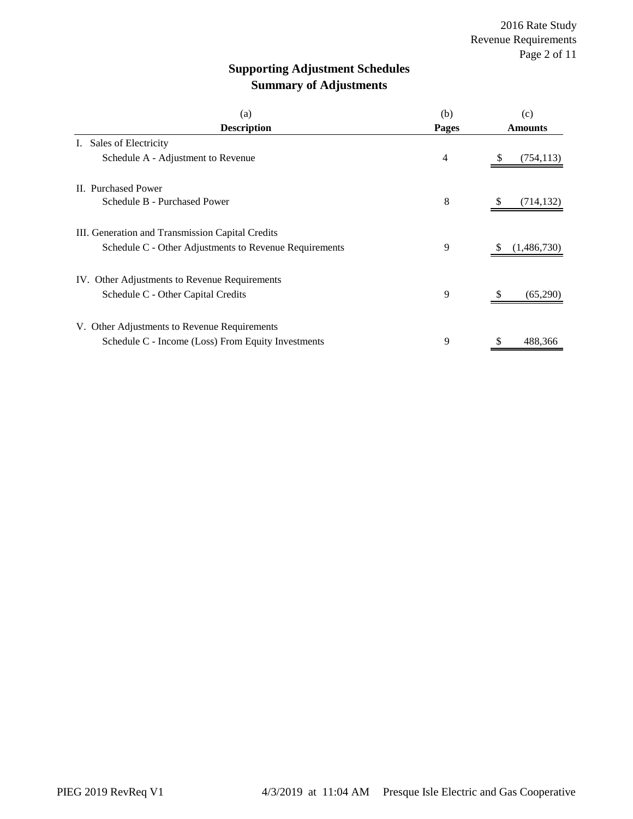# **Supporting Adjustment Schedules Summary of Adjustments**

| (a)                                                    | (b)   | (c)              |
|--------------------------------------------------------|-------|------------------|
| <b>Description</b>                                     | Pages | <b>Amounts</b>   |
| Sales of Electricity<br>I.                             |       |                  |
| Schedule A - Adjustment to Revenue                     | 4     | (754, 113)<br>S  |
| II. Purchased Power                                    |       |                  |
| Schedule B - Purchased Power                           | 8     | (714, 132)       |
| III. Generation and Transmission Capital Credits       |       |                  |
| Schedule C - Other Adjustments to Revenue Requirements | 9     | (1,486,730)<br>S |
| IV. Other Adjustments to Revenue Requirements          |       |                  |
| Schedule C - Other Capital Credits                     | 9     | (65,290)         |
| V. Other Adjustments to Revenue Requirements           |       |                  |
| Schedule C - Income (Loss) From Equity Investments     | 9     | \$<br>488,366    |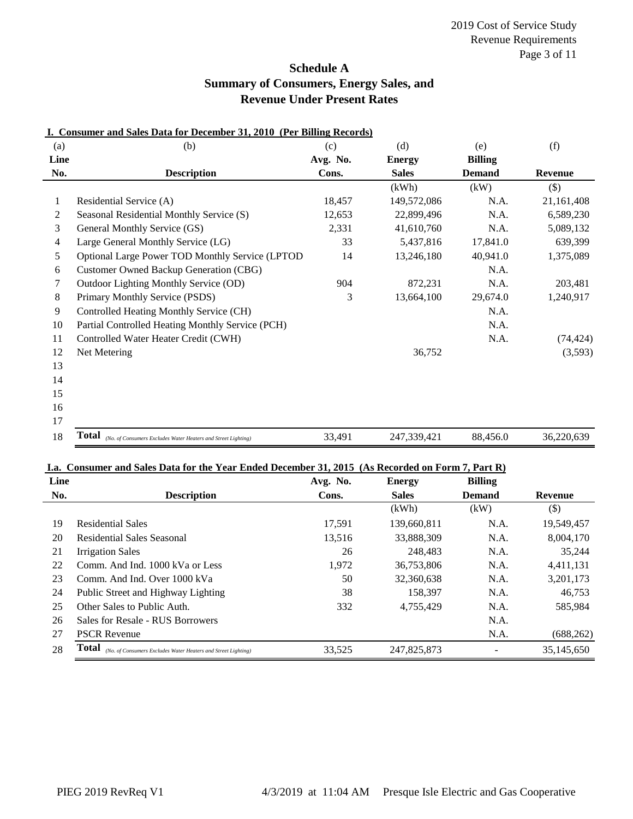### **Schedule A Summary of Consumers, Energy Sales, and Revenue Under Present Rates**

| (a)  | (b)                                                                    | (c)      | (d)           | (e)            | (f)            |
|------|------------------------------------------------------------------------|----------|---------------|----------------|----------------|
| Line |                                                                        | Avg. No. | <b>Energy</b> | <b>Billing</b> |                |
| No.  | <b>Description</b>                                                     | Cons.    | <b>Sales</b>  | <b>Demand</b>  | <b>Revenue</b> |
|      |                                                                        |          | (kWh)         | (kW)           | $($ \$)        |
| 1    | Residential Service (A)                                                | 18,457   | 149,572,086   | N.A.           | 21,161,408     |
| 2    | Seasonal Residential Monthly Service (S)                               | 12,653   | 22,899,496    | N.A.           | 6,589,230      |
| 3    | General Monthly Service (GS)                                           | 2,331    | 41,610,760    | N.A.           | 5,089,132      |
| 4    | Large General Monthly Service (LG)                                     | 33       | 5,437,816     | 17,841.0       | 639,399        |
| 5    | Optional Large Power TOD Monthly Service (LPTOD                        | 14       | 13,246,180    | 40,941.0       | 1,375,089      |
| 6    | <b>Customer Owned Backup Generation (CBG)</b>                          |          |               | N.A.           |                |
| 7    | Outdoor Lighting Monthly Service (OD)                                  | 904      | 872,231       | N.A.           | 203,481        |
| 8    | Primary Monthly Service (PSDS)                                         | 3        | 13,664,100    | 29,674.0       | 1,240,917      |
| 9    | Controlled Heating Monthly Service (CH)                                |          |               | N.A.           |                |
| 10   | Partial Controlled Heating Monthly Service (PCH)                       |          |               | N.A.           |                |
| 11   | Controlled Water Heater Credit (CWH)                                   |          |               | N.A.           | (74, 424)      |
| 12   | Net Metering                                                           |          | 36,752        |                | (3,593)        |
| 13   |                                                                        |          |               |                |                |
| 14   |                                                                        |          |               |                |                |
| 15   |                                                                        |          |               |                |                |
| 16   |                                                                        |          |               |                |                |
| 17   |                                                                        |          |               |                |                |
| 18   | Total<br>(No. of Consumers Excludes Water Heaters and Street Lighting) | 33,491   | 247,339,421   | 88,456.0       | 36,220,639     |

#### **I. Consumer and Sales Data for December 31, 2010 (Per Billing Records)**

#### **I.a. Consumer and Sales Data for the Year Ended December 31, 2015 (As Recorded on Form 7, Part R)**

| Line |                                                                               | Avg. No. | <b>Energy</b> | <b>Billing</b> |            |
|------|-------------------------------------------------------------------------------|----------|---------------|----------------|------------|
| No.  | <b>Description</b>                                                            | Cons.    | <b>Sales</b>  | <b>Demand</b>  | Revenue    |
|      |                                                                               |          | (kWh)         | (kW)           | $($ \$)    |
| 19   | <b>Residential Sales</b>                                                      | 17,591   | 139,660,811   | N.A.           | 19,549,457 |
| 20   | Residential Sales Seasonal                                                    | 13,516   | 33,888,309    | N.A.           | 8,004,170  |
| 21   | <b>Irrigation Sales</b>                                                       | 26       | 248.483       | N.A.           | 35,244     |
| 22   | Comm. And Ind. 1000 kVa or Less                                               | 1,972    | 36,753,806    | N.A.           | 4,411,131  |
| 23   | Comm. And Ind. Over 1000 kVa                                                  | 50       | 32,360,638    | N.A.           | 3,201,173  |
| 24   | Public Street and Highway Lighting                                            | 38       | 158.397       | N.A.           | 46,753     |
| 25   | Other Sales to Public Auth.                                                   | 332      | 4,755,429     | N.A.           | 585,984    |
| 26   | Sales for Resale - RUS Borrowers                                              |          |               | N.A.           |            |
| 27   | <b>PSCR Revenue</b>                                                           |          |               | N.A.           | (688, 262) |
| 28   | <b>Total</b><br>(No. of Consumers Excludes Water Heaters and Street Lighting) | 33,525   | 247,825,873   |                | 35,145,650 |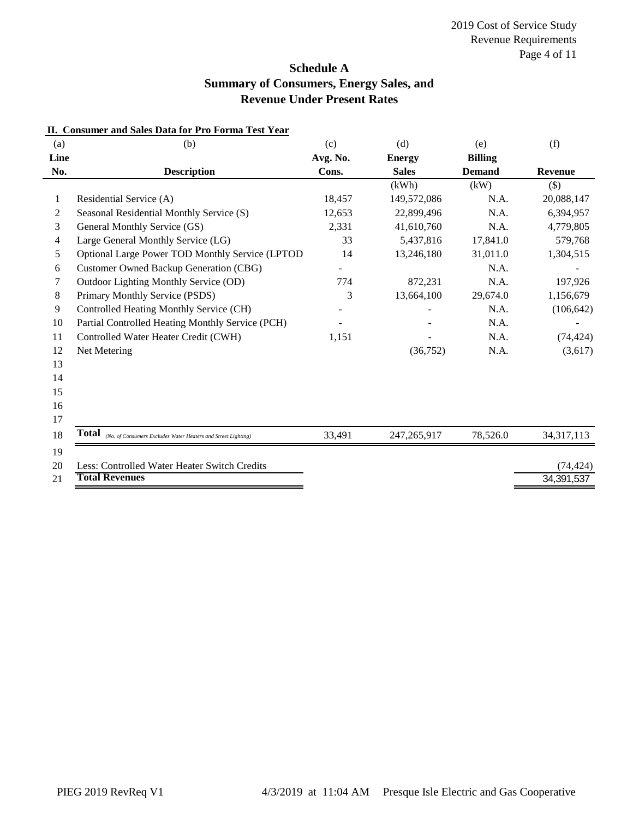### **Schedule A Summary of Consumers, Energy Sales, and Revenue Under Present Rates**

| (a)      | (b)                                                                        | (c)      | (d)           | (e)            | (f)          |
|----------|----------------------------------------------------------------------------|----------|---------------|----------------|--------------|
| Line     |                                                                            | Avg. No. | <b>Energy</b> | <b>Billing</b> |              |
| No.      | <b>Description</b>                                                         | Cons.    | <b>Sales</b>  | <b>Demand</b>  | Revenue      |
|          |                                                                            |          | (kWh)         | (kW)           | $($ \$)      |
| 1        | Residential Service (A)                                                    | 18,457   | 149,572,086   | N.A.           | 20,088,147   |
| 2        | Seasonal Residential Monthly Service (S)                                   | 12,653   | 22,899,496    | N.A.           | 6,394,957    |
| 3        | General Monthly Service (GS)                                               | 2,331    | 41,610,760    | N.A.           | 4,779,805    |
| 4        | Large General Monthly Service (LG)                                         | 33       | 5,437,816     | 17,841.0       | 579,768      |
| 5        | Optional Large Power TOD Monthly Service (LPTOD                            | 14       | 13,246,180    | 31,011.0       | 1,304,515    |
| 6        | <b>Customer Owned Backup Generation (CBG)</b>                              |          |               | N.A.           |              |
| 7        | Outdoor Lighting Monthly Service (OD)                                      | 774      | 872,231       | N.A.           | 197,926      |
| 8        | Primary Monthly Service (PSDS)                                             | 3        | 13,664,100    | 29,674.0       | 1,156,679    |
| 9        | Controlled Heating Monthly Service (CH)                                    |          |               | N.A.           | (106, 642)   |
| 10       | Partial Controlled Heating Monthly Service (PCH)                           |          |               | N.A.           |              |
| 11       | Controlled Water Heater Credit (CWH)                                       | 1,151    |               | N.A.           | (74, 424)    |
| 12       | Net Metering                                                               |          | (36, 752)     | N.A.           | (3,617)      |
| 13       |                                                                            |          |               |                |              |
| 14       |                                                                            |          |               |                |              |
| 15       |                                                                            |          |               |                |              |
| 16       |                                                                            |          |               |                |              |
| 17       |                                                                            |          |               |                |              |
| 18       | <b>Total</b> (No. of Consumers Excludes Water Heaters and Street Lighting) | 33,491   | 247, 265, 917 | 78,526.0       | 34, 317, 113 |
| 19<br>20 | Less: Controlled Water Heater Switch Credits                               |          |               |                |              |
| 21       | <b>Total Revenues</b>                                                      |          |               |                | (74, 424)    |
|          |                                                                            |          |               |                | 34, 391, 537 |

#### **II. Consumer and Sales Data for Pro Forma Test Year**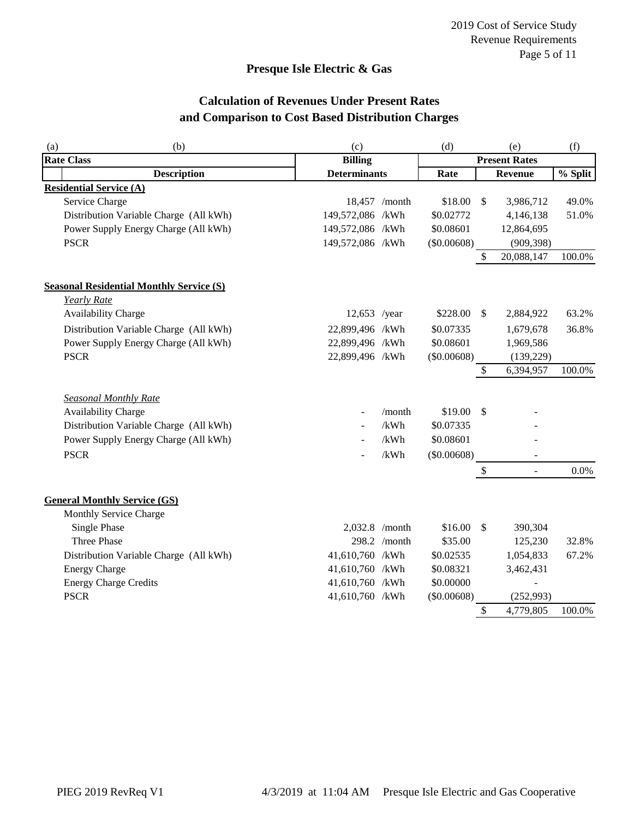### **Presque Isle Electric & Gas**

# **Calculation of Revenues Under Present Rates and Comparison to Cost Based Distribution Charges**

| (a) | (b)                                             | (c)                 |               | (d)           |               | (e)                      | (f)     |
|-----|-------------------------------------------------|---------------------|---------------|---------------|---------------|--------------------------|---------|
|     | <b>Rate Class</b>                               | <b>Billing</b>      |               |               |               | <b>Present Rates</b>     |         |
|     | <b>Description</b>                              | <b>Determinants</b> |               | Rate          |               | Revenue                  | % Split |
|     | <b>Residential Service (A)</b>                  |                     |               |               |               |                          |         |
|     | Service Charge                                  |                     | 18,457 /month | \$18.00       | $\mathcal{S}$ | 3,986,712                | 49.0%   |
|     | Distribution Variable Charge (All kWh)          | 149,572,086 /kWh    |               | \$0.02772     |               | 4,146,138                | 51.0%   |
|     | Power Supply Energy Charge (All kWh)            | 149,572,086 /kWh    |               | \$0.08601     |               | 12,864,695               |         |
|     | <b>PSCR</b>                                     | 149,572,086 /kWh    |               | (\$0.00608)   |               | (909, 398)               |         |
|     |                                                 |                     |               |               | \$            | 20,088,147               | 100.0%  |
|     | <b>Seasonal Residential Monthly Service (S)</b> |                     |               |               |               |                          |         |
|     | <b>Yearly Rate</b>                              |                     |               |               |               |                          |         |
|     | Availability Charge                             | 12,653 /year        |               | \$228.00      | $\mathcal{S}$ | 2,884,922                | 63.2%   |
|     | Distribution Variable Charge (All kWh)          | 22,899,496 /kWh     |               | \$0.07335     |               | 1,679,678                | 36.8%   |
|     | Power Supply Energy Charge (All kWh)            | 22,899,496 /kWh     |               | \$0.08601     |               | 1,969,586                |         |
|     | <b>PSCR</b>                                     | 22,899,496 /kWh     |               | (\$0.00608)   |               | (139, 229)               |         |
|     |                                                 |                     |               |               | \$            | 6,394,957                | 100.0%  |
|     | <b>Seasonal Monthly Rate</b>                    |                     |               |               |               |                          |         |
|     | Availability Charge                             |                     | /month        | \$19.00       | -\$           |                          |         |
|     | Distribution Variable Charge (All kWh)          | $\sim$              | /kWh          | \$0.07335     |               |                          |         |
|     | Power Supply Energy Charge (All kWh)            |                     | /kWh          | \$0.08601     |               |                          |         |
|     | <b>PSCR</b>                                     |                     | /kWh          | $(\$0.00608)$ |               |                          |         |
|     |                                                 |                     |               |               | \$            | $\sim$                   | 0.0%    |
|     | <b>General Monthly Service (GS)</b>             |                     |               |               |               |                          |         |
|     | Monthly Service Charge                          |                     |               |               |               |                          |         |
|     | <b>Single Phase</b>                             | 2,032.8 /month      |               | \$16.00       | $\mathcal{S}$ | 390,304                  |         |
|     | Three Phase                                     |                     | 298.2 /month  | \$35.00       |               | 125,230                  | 32.8%   |
|     | Distribution Variable Charge (All kWh)          | 41,610,760 /kWh     |               | \$0.02535     |               | 1,054,833                | 67.2%   |
|     | <b>Energy Charge</b>                            | 41,610,760 /kWh     |               | \$0.08321     |               | 3,462,431                |         |
|     | <b>Energy Charge Credits</b>                    | 41,610,760 /kWh     |               | \$0.00000     |               | $\overline{\phantom{a}}$ |         |
|     | <b>PSCR</b>                                     | 41,610,760 /kWh     |               | (\$0.00608)   |               | (252,993)                |         |
|     |                                                 |                     |               |               | \$            | 4,779,805                | 100.0%  |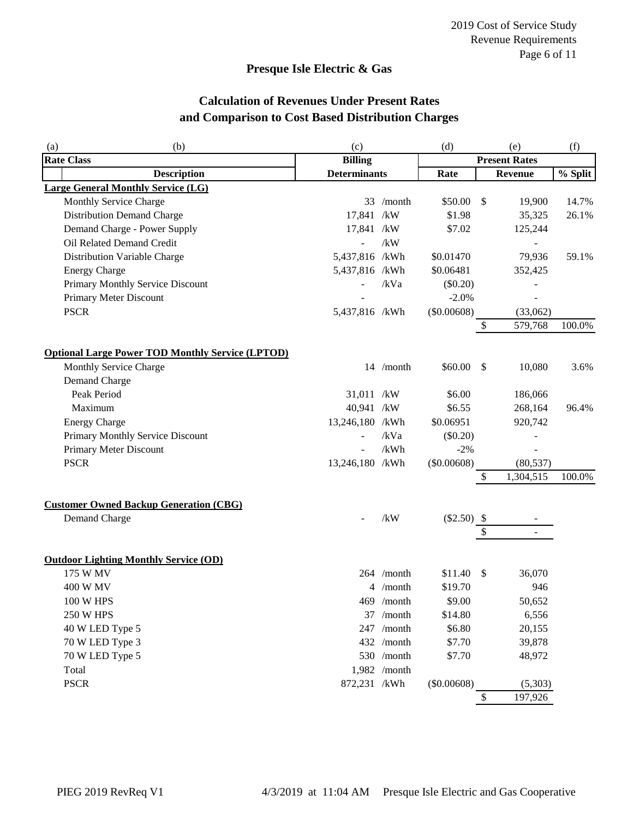### **Presque Isle Electric & Gas**

# **Calculation of Revenues Under Present Rates and Comparison to Cost Based Distribution Charges**

| (a) | (b)                                                     | (c)                      |              | (d)            |               | (e)                  | (f)     |
|-----|---------------------------------------------------------|--------------------------|--------------|----------------|---------------|----------------------|---------|
|     | <b>Rate Class</b>                                       | <b>Billing</b>           |              |                |               | <b>Present Rates</b> |         |
|     | <b>Description</b>                                      | <b>Determinants</b>      |              | Rate           |               | <b>Revenue</b>       | % Split |
|     | <b>Large General Monthly Service (LG)</b>               |                          |              |                |               |                      |         |
|     | Monthly Service Charge                                  |                          | 33 /month    | \$50.00        | $\frac{1}{2}$ | 19,900               | 14.7%   |
|     | <b>Distribution Demand Charge</b>                       | 17,841 /kW               |              | \$1.98         |               | 35,325               | 26.1%   |
|     | Demand Charge - Power Supply                            | 17,841 /kW               |              | \$7.02         |               | 125,244              |         |
|     | Oil Related Demand Credit                               | $\overline{a}$           | /kW          |                |               |                      |         |
|     | Distribution Variable Charge                            | 5,437,816 /kWh           |              | \$0.01470      |               | 79,936               | 59.1%   |
|     | <b>Energy Charge</b>                                    | 5,437,816 /kWh           |              | \$0.06481      |               | 352,425              |         |
|     | Primary Monthly Service Discount                        | $\overline{\phantom{0}}$ | /kVa         | $(\$0.20)$     |               |                      |         |
|     | Primary Meter Discount                                  |                          |              | $-2.0%$        |               |                      |         |
|     | <b>PSCR</b>                                             | 5,437,816 /kWh           |              | (\$0.00608)    |               | (33,062)             |         |
|     |                                                         |                          |              |                | \$            | 579,768              | 100.0%  |
|     |                                                         |                          |              |                |               |                      |         |
|     | <b>Optional Large Power TOD Monthly Service (LPTOD)</b> |                          |              |                |               |                      |         |
|     | Monthly Service Charge                                  |                          | 14 /month    | \$60.00        | $\mathcal{S}$ | 10,080               | 3.6%    |
|     | Demand Charge                                           |                          |              |                |               |                      |         |
|     | Peak Period                                             | 31,011 /kW               |              | \$6.00         |               | 186,066              |         |
|     | Maximum                                                 | 40,941 /kW               |              | \$6.55         |               | 268,164              | 96.4%   |
|     | <b>Energy Charge</b>                                    | 13,246,180 /kWh          |              | \$0.06951      |               | 920,742              |         |
|     | Primary Monthly Service Discount                        | $\overline{\phantom{a}}$ | /kVa         | (\$0.20)       |               |                      |         |
|     | Primary Meter Discount                                  | $\overline{\phantom{a}}$ | /kWh         | $-2%$          |               |                      |         |
|     | <b>PSCR</b>                                             | 13,246,180 /kWh          |              | (\$0.00608)    |               | (80, 537)            |         |
|     |                                                         |                          |              |                | \$            | 1,304,515            | 100.0%  |
|     | <b>Customer Owned Backup Generation (CBG)</b>           |                          |              |                |               |                      |         |
|     | Demand Charge                                           |                          | /kW          | $(\$2.50)$ \\$ |               |                      |         |
|     |                                                         |                          |              |                | \$            |                      |         |
|     |                                                         |                          |              |                |               |                      |         |
|     | <b>Outdoor Lighting Monthly Service (OD)</b>            |                          |              |                |               |                      |         |
|     | 175 W MV                                                |                          | 264 /month   | \$11.40        | \$            | 36,070               |         |
|     | 400 W MV                                                |                          | 4 /month     | \$19.70        |               | 946                  |         |
|     | 100 W HPS                                               |                          | $469$ /month | \$9.00         |               | 50,652               |         |
|     | <b>250 W HPS</b>                                        |                          | 37 /month    | \$14.80        |               | 6,556                |         |
|     | 40 W LED Type 5                                         |                          | 247 /month   | \$6.80         |               | 20,155               |         |
|     | 70 W LED Type 3                                         |                          | 432 /month   | \$7.70         |               | 39,878               |         |
|     | 70 W LED Type 5                                         |                          | 530 /month   | \$7.70         |               | 48,972               |         |
|     | Total                                                   |                          | 1,982 /month |                |               |                      |         |
|     | <b>PSCR</b>                                             | 872,231 /kWh             |              | (\$0.00608)    |               | (5,303)              |         |
|     |                                                         |                          |              |                | \$            | 197,926              |         |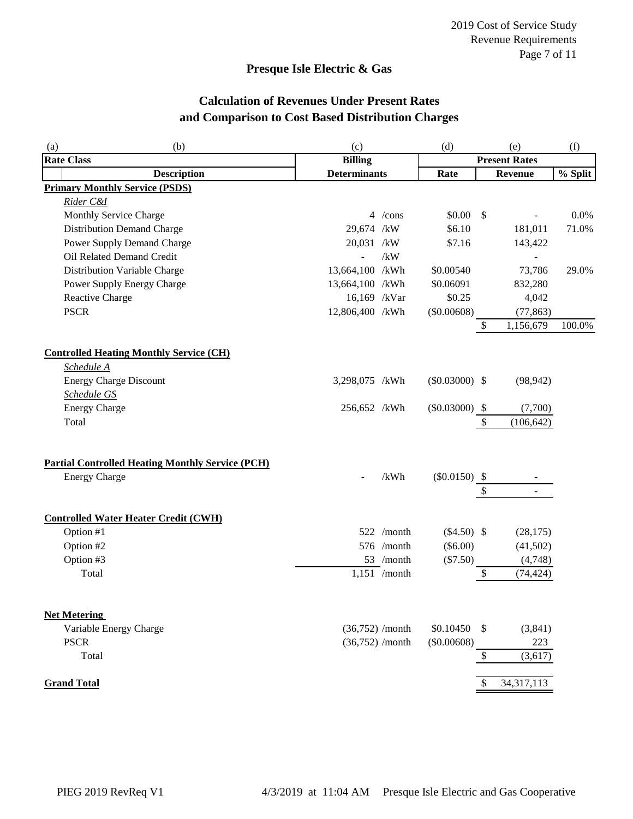### **Presque Isle Electric & Gas**

# **Calculation of Revenues Under Present Rates and Comparison to Cost Based Distribution Charges**

| (b)<br>(a)             |                                                         | (c)                 |                   | (d)                  | (e)           |                          | (f)     |  |
|------------------------|---------------------------------------------------------|---------------------|-------------------|----------------------|---------------|--------------------------|---------|--|
| <b>Rate Class</b>      |                                                         | <b>Billing</b>      |                   | <b>Present Rates</b> |               |                          |         |  |
| <b>Description</b>     |                                                         | <b>Determinants</b> |                   | Rate                 |               | Revenue                  | % Split |  |
|                        | <b>Primary Monthly Service (PSDS)</b>                   |                     |                   |                      |               |                          |         |  |
| Rider C&I              |                                                         |                     |                   |                      |               |                          |         |  |
|                        | Monthly Service Charge                                  |                     | 4 /cons           | \$0.00               | $\mathcal{S}$ | $\overline{a}$           | 0.0%    |  |
|                        | <b>Distribution Demand Charge</b>                       | 29,674 /kW          |                   | \$6.10               |               | 181,011                  | 71.0%   |  |
|                        | Power Supply Demand Charge                              | 20,031 /kW          |                   | \$7.16               |               | 143,422                  |         |  |
|                        | Oil Related Demand Credit                               |                     | /kW               |                      |               | $\overline{\phantom{a}}$ |         |  |
|                        | Distribution Variable Charge                            | 13,664,100 /kWh     |                   | \$0.00540            |               | 73,786                   | 29.0%   |  |
|                        | Power Supply Energy Charge                              | 13,664,100 /kWh     |                   | \$0.06091            |               | 832,280                  |         |  |
| Reactive Charge        |                                                         | 16,169 /kVar        |                   | \$0.25               |               | 4,042                    |         |  |
| <b>PSCR</b>            |                                                         | 12,806,400 /kWh     |                   | (\$0.00608)          |               | (77, 863)                |         |  |
|                        |                                                         |                     |                   |                      | $\$$          | 1,156,679                | 100.0%  |  |
|                        | <b>Controlled Heating Monthly Service (CH)</b>          |                     |                   |                      |               |                          |         |  |
| Schedule A             |                                                         |                     |                   |                      |               |                          |         |  |
|                        | <b>Energy Charge Discount</b>                           | 3,298,075 /kWh      |                   | $(\$0.03000)$ \\$    |               | (98, 942)                |         |  |
| Schedule GS            |                                                         |                     |                   |                      |               |                          |         |  |
| <b>Energy Charge</b>   |                                                         | 256,652 /kWh        |                   | $(\$0.03000)$ \\$    |               | (7,700)                  |         |  |
| Total                  |                                                         |                     |                   |                      | \$            | (106, 642)               |         |  |
|                        |                                                         |                     |                   |                      |               |                          |         |  |
|                        | <b>Partial Controlled Heating Monthly Service (PCH)</b> |                     |                   |                      |               |                          |         |  |
| <b>Energy Charge</b>   |                                                         |                     | /kWh              | $(\$0.0150)$ \\$     |               |                          |         |  |
|                        |                                                         |                     |                   |                      | \$            |                          |         |  |
|                        | <b>Controlled Water Heater Credit (CWH)</b>             |                     |                   |                      |               |                          |         |  |
| Option #1              |                                                         |                     | 522 /month        | $(\$4.50)$ \\$       |               | (28, 175)                |         |  |
| Option #2              |                                                         |                     | 576 /month        | $(\$6.00)$           |               | (41,502)                 |         |  |
| Option #3              |                                                         |                     | 53 /month         | (\$7.50)             |               | (4,748)                  |         |  |
| Total                  |                                                         |                     | $1,151$ /month    |                      | $\mathbb{S}$  | (74, 424)                |         |  |
| <b>Net Metering</b>    |                                                         |                     |                   |                      |               |                          |         |  |
| Variable Energy Charge |                                                         |                     | $(36,752)$ /month | \$0.10450            | $\mathcal{S}$ | (3,841)                  |         |  |
| <b>PSCR</b>            |                                                         |                     | $(36,752)$ /month | (\$0.00608)          |               | 223                      |         |  |
| Total                  |                                                         |                     |                   |                      | \$            | (3,617)                  |         |  |
| <b>Grand Total</b>     |                                                         |                     |                   |                      |               | 34, 317, 113             |         |  |
|                        |                                                         |                     |                   |                      |               |                          |         |  |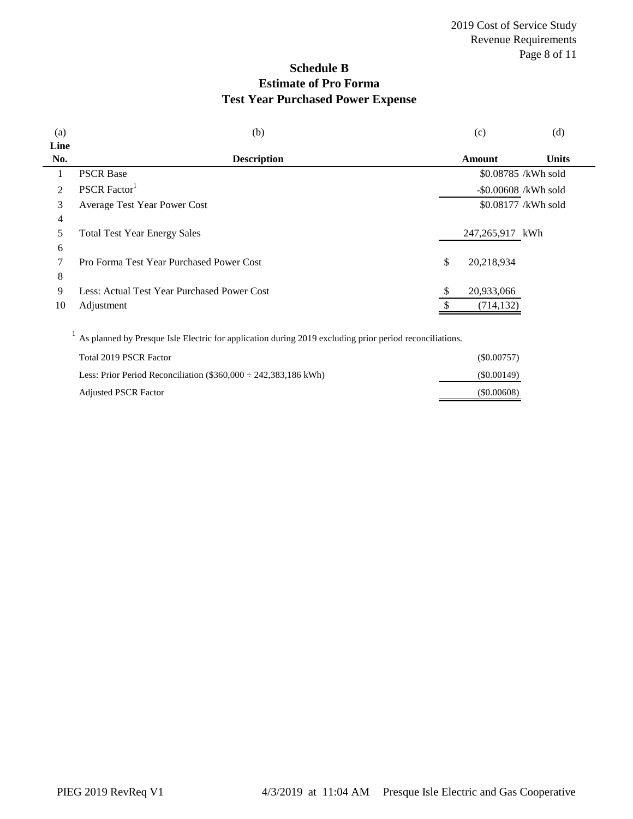# **Schedule B Estimate of Pro Forma Test Year Purchased Power Expense**

| <b>Units</b>            |
|-------------------------|
|                         |
|                         |
| \$0.08785 /kWh sold     |
| $-$ \$0.00608 /kWh sold |
| \$0.08177 /kWh sold     |
|                         |
| 247,265,917 kWh         |
|                         |
|                         |
|                         |
|                         |
|                         |
|                         |

 $1$  As planned by Presque Isle Electric for application during 2019 excluding prior period reconciliations.

| Total 2019 PSCR Factor                                               | (S0.00757) |
|----------------------------------------------------------------------|------------|
| Less: Prior Period Reconciliation $(\$360.000 \div 242.383.186$ kWh) | (S0.00149) |
| <b>Adjusted PSCR Factor</b>                                          | (S0.00608) |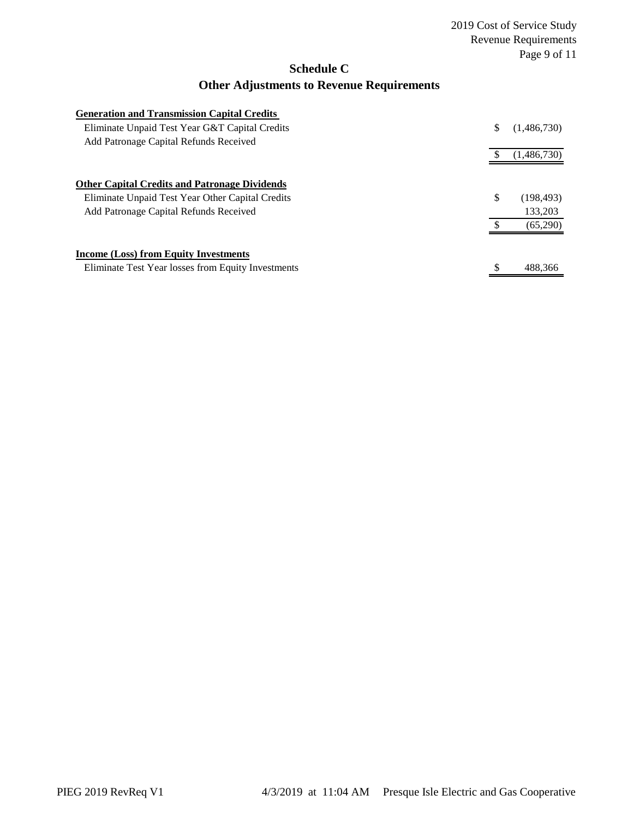### **Schedule C**

## **Other Adjustments to Revenue Requirements**

| <b>Generation and Transmission Capital Credits</b>   |                   |
|------------------------------------------------------|-------------------|
| Eliminate Unpaid Test Year G&T Capital Credits       | \$<br>(1,486,730) |
| Add Patronage Capital Refunds Received               |                   |
|                                                      | (1,486,730)       |
|                                                      |                   |
| <b>Other Capital Credits and Patronage Dividends</b> |                   |
| Eliminate Unpaid Test Year Other Capital Credits     | \$<br>(198, 493)  |
| Add Patronage Capital Refunds Received               | 133,203           |
|                                                      | (65,290)          |
| <b>Income (Loss) from Equity Investments</b>         |                   |
| Eliminate Test Year losses from Equity Investments   | \$<br>488.366     |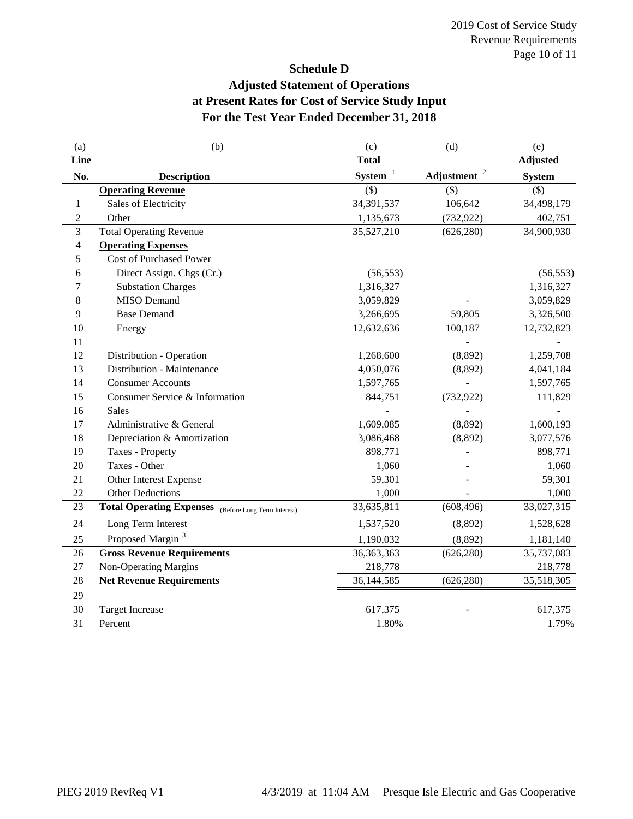# **Schedule D Adjusted Statement of Operations at Present Rates for Cost of Service Study Input For the Test Year Ended December 31, 2018**

| (a)            | (b)                                                         | (c)                 | (d)                     | (e)             |
|----------------|-------------------------------------------------------------|---------------------|-------------------------|-----------------|
| Line           |                                                             | <b>Total</b>        |                         | <b>Adjusted</b> |
| No.            | <b>Description</b>                                          | System <sup>1</sup> | Adjustment <sup>2</sup> | <b>System</b>   |
|                | <b>Operating Revenue</b>                                    | $($ \$)             | $(\$)$                  | $($ \$)         |
| 1              | Sales of Electricity                                        | 34,391,537          | 106,642                 | 34,498,179      |
| $\overline{c}$ | Other                                                       | 1,135,673           | (732, 922)              | 402,751         |
| 3              | <b>Total Operating Revenue</b>                              | 35,527,210          | (626, 280)              | 34,900,930      |
| 4              | <b>Operating Expenses</b>                                   |                     |                         |                 |
| 5              | <b>Cost of Purchased Power</b>                              |                     |                         |                 |
| 6              | Direct Assign. Chgs (Cr.)                                   | (56, 553)           |                         | (56, 553)       |
| 7              | <b>Substation Charges</b>                                   | 1,316,327           |                         | 1,316,327       |
| 8              | <b>MISO</b> Demand                                          | 3,059,829           |                         | 3,059,829       |
| 9              | <b>Base Demand</b>                                          | 3,266,695           | 59,805                  | 3,326,500       |
| 10             | Energy                                                      | 12,632,636          | 100,187                 | 12,732,823      |
| 11             |                                                             |                     |                         |                 |
| 12             | Distribution - Operation                                    | 1,268,600           | (8,892)                 | 1,259,708       |
| 13             | Distribution - Maintenance                                  | 4,050,076           | (8,892)                 | 4,041,184       |
| 14             | <b>Consumer Accounts</b>                                    | 1,597,765           |                         | 1,597,765       |
| 15             | Consumer Service & Information                              | 844,751             | (732, 922)              | 111,829         |
| 16             | <b>Sales</b>                                                |                     |                         |                 |
| 17             | Administrative & General                                    | 1,609,085           | (8,892)                 | 1,600,193       |
| 18             | Depreciation & Amortization                                 | 3,086,468           | (8,892)                 | 3,077,576       |
| 19             | Taxes - Property                                            | 898,771             |                         | 898,771         |
| 20             | Taxes - Other                                               | 1,060               |                         | 1,060           |
| 21             | Other Interest Expense                                      | 59,301              |                         | 59,301          |
| 22             | <b>Other Deductions</b>                                     | 1,000               |                         | 1,000           |
| 23             | <b>Total Operating Expenses</b> (Before Long Term Interest) | 33,635,811          | (608, 496)              | 33,027,315      |
| 24             | Long Term Interest                                          | 1,537,520           | (8,892)                 | 1,528,628       |
| 25             | Proposed Margin <sup>3</sup>                                | 1,190,032           | (8,892)                 | 1,181,140       |
| 26             | <b>Gross Revenue Requirements</b>                           | 36, 363, 363        | (626, 280)              | 35,737,083      |
| $27\,$         | <b>Non-Operating Margins</b>                                | 218,778             |                         | 218,778         |
| 28             | <b>Net Revenue Requirements</b>                             | 36,144,585          | (626, 280)              | 35,518,305      |
| 29             |                                                             |                     |                         |                 |
| 30             | <b>Target Increase</b>                                      | 617,375             |                         | 617,375         |
| 31             | Percent                                                     | 1.80%               |                         | 1.79%           |